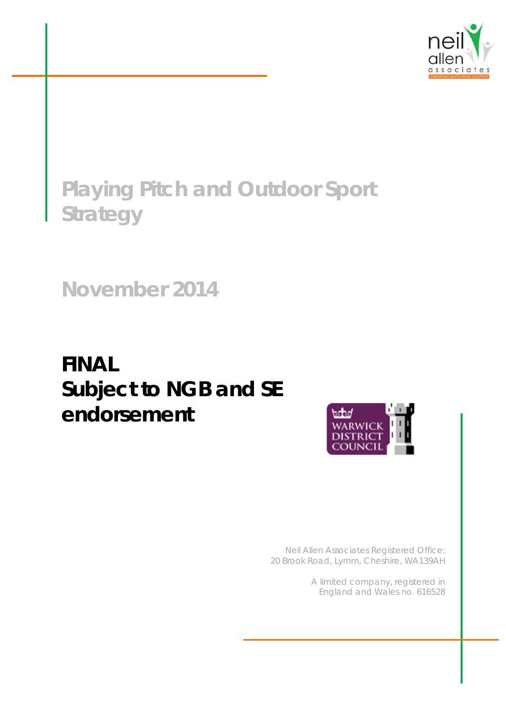

# **Playing Pitch and Outdoor Sport Strategy**

**November 2014** 

# **FINAL**  *Subject to NGB and SE endorsement*



*Neil Allen Associates Registered Office: 20 Brook Road, Lymm, Cheshire, WA139AH* 

> *A limited company, registered in England and Wales no. 616528*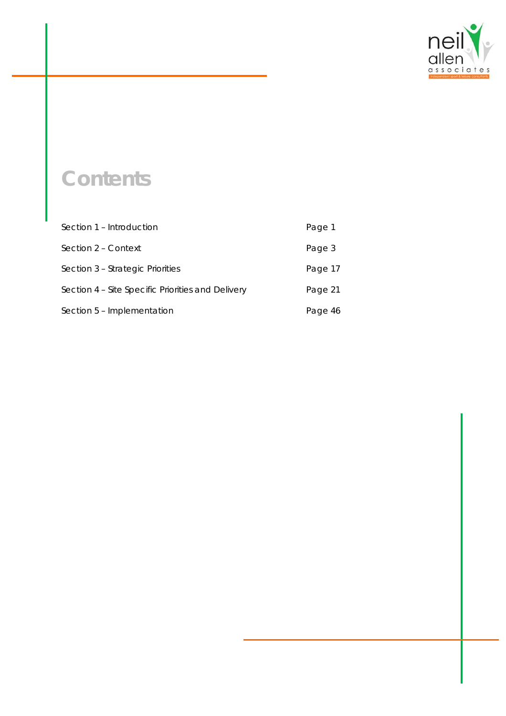

# **Contents**

| Section 1 – Introduction                          | Page 1  |
|---------------------------------------------------|---------|
| Section 2 – Context                               | Page 3  |
| Section 3 – Strategic Priorities                  | Page 17 |
| Section 4 - Site Specific Priorities and Delivery | Page 21 |
| Section 5 - Implementation                        | Page 46 |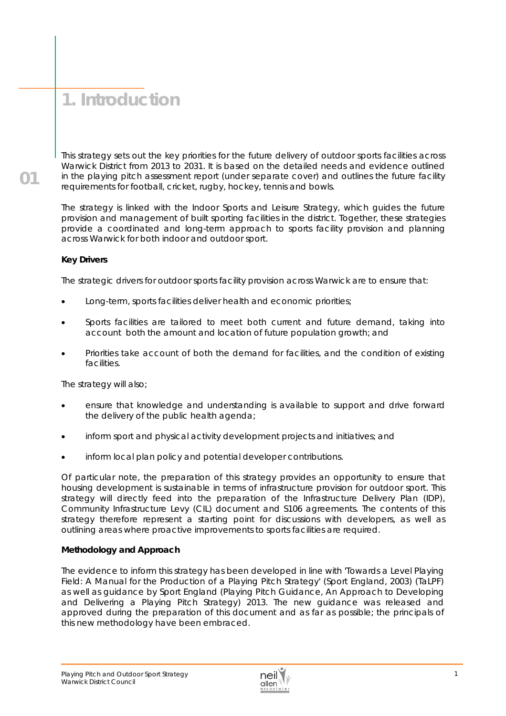# **1. Introduction**

This strategy sets out the key priorities for the future delivery of outdoor sports facilities across Warwick District from 2013 to 2031. It is based on the detailed needs and evidence outlined in the playing pitch assessment report (under separate cover) and outlines the future facility requirements for football, cricket, rugby, hockey, tennis and bowls.

The strategy is linked with the Indoor Sports and Leisure Strategy, which guides the future provision and management of built sporting facilities in the district. Together, these strategies provide a coordinated and long-term approach to sports facility provision and planning across Warwick for both indoor and outdoor sport.

# **Key Drivers**

**01** 

The strategic drivers for outdoor sports facility provision across Warwick are to ensure that:

- Long-term, sports facilities deliver health and economic priorities;
- Sports facilities are tailored to meet both current and future demand, taking into account both the amount and location of future population growth; and
- Priorities take account of both the demand for facilities, and the condition of existing facilities.

The strategy will also;

- ensure that knowledge and understanding is available to support and drive forward the delivery of the public health agenda;
- inform sport and physical activity development projects and initiatives; and
- inform local plan policy and potential developer contributions.

Of particular note, the preparation of this strategy provides an opportunity to ensure that housing development is sustainable in terms of infrastructure provision for outdoor sport. This strategy will directly feed into the preparation of the Infrastructure Delivery Plan (IDP), Community Infrastructure Levy (CIL) document and S106 agreements. The contents of this strategy therefore represent a starting point for discussions with developers, as well as outlining areas where proactive improvements to sports facilities are required.

## **Methodology and Approach**

The evidence to inform this strategy has been developed in line with 'Towards a Level Playing Field: A Manual for the Production of a Playing Pitch Strategy' (Sport England, 2003) (TaLPF) as well as guidance by Sport England (Playing Pitch Guidance, An Approach to Developing and Delivering a Playing Pitch Strategy) 2013. The new guidance was released and approved during the preparation of this document and as far as possible; the principals of this new methodology have been embraced.

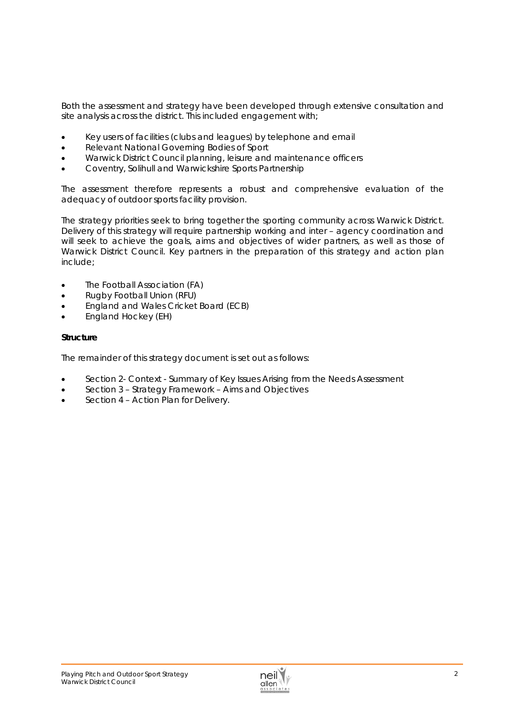Both the assessment and strategy have been developed through extensive consultation and site analysis across the district. This included engagement with;

- Key users of facilities (clubs and leagues) by telephone and email
- Relevant National Governing Bodies of Sport
- Warwick District Council planning, leisure and maintenance officers
- Coventry, Solihull and Warwickshire Sports Partnership

The assessment therefore represents a robust and comprehensive evaluation of the adequacy of outdoor sports facility provision.

The strategy priorities seek to bring together the sporting community across Warwick District. Delivery of this strategy will require partnership working and inter – agency coordination and will seek to achieve the goals, aims and objectives of wider partners, as well as those of Warwick District Council. Key partners in the preparation of this strategy and action plan include;

- The Football Association (FA)
- Rugby Football Union (RFU)
- England and Wales Cricket Board (ECB)
- England Hockey (EH)

#### **Structure**

The remainder of this strategy document is set out as follows:

- Section 2- Context Summary of Key Issues Arising from the Needs Assessment
- Section 3 Strategy Framework Aims and Objectives
- Section 4 Action Plan for Delivery.

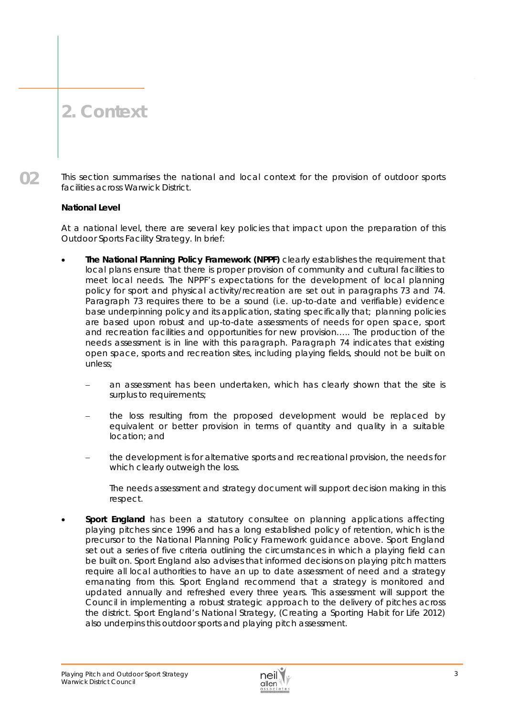# **2. Context**

**02** 

This section summarises the national and local context for the provision of outdoor sports facilities across Warwick District.

# *National Level*

At a national level, there are several key policies that impact upon the preparation of this Outdoor Sports Facility Strategy. In brief:

- **The National Planning Policy Framework (NPPF)** clearly establishes the requirement that local plans ensure that there is proper provision of community and cultural facilities to meet local needs. The NPPF's expectations for the development of local planning policy for sport and physical activity/recreation are set out in paragraphs 73 and 74. Paragraph 73 requires there to be a sound (i.e. up-to-date and verifiable) evidence base underpinning policy and its application, stating specifically that; *planning policies are based upon robust and up-to-date assessments of needs for open space, sport and recreation facilities and opportunities for new provision…..* The production of the needs assessment is in line with this paragraph. Paragraph 74 indicates that existing open space, sports and recreation sites, including playing fields, should not be built on unless;
	- an assessment has been undertaken, which has clearly shown that the site is surplus to requirements;
	- the loss resulting from the proposed development would be replaced by equivalent or better provision in terms of quantity and quality in a suitable location; and
	- the development is for alternative sports and recreational provision, the needs for which clearly outweigh the loss.

The needs assessment and strategy document will support decision making in this respect.

 **Sport England** has been a statutory consultee on planning applications affecting playing pitches since 1996 and has a long established policy of retention, which is the precursor to the National Planning Policy Framework guidance above. Sport England set out a series of five criteria outlining the circumstances in which a playing field can be built on. Sport England also advises that informed decisions on playing pitch matters require all local authorities to have an up to date assessment of need and a strategy emanating from this. Sport England recommend that a strategy is monitored and updated annually and refreshed every three years. This assessment will support the Council in implementing a robust strategic approach to the delivery of pitches across the district. Sport England's National Strategy, (Creating a Sporting Habit for Life 2012) also underpins this outdoor sports and playing pitch assessment.

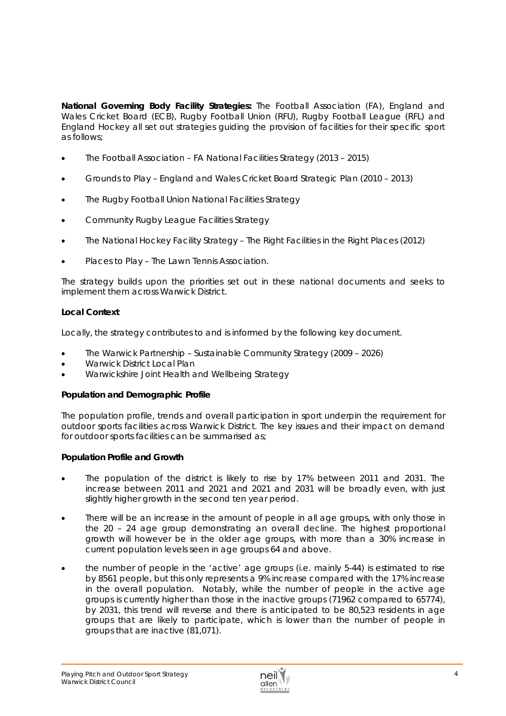**National Governing Body Facility Strategies:** The Football Association (FA), England and Wales Cricket Board (ECB), Rugby Football Union (RFU), Rugby Football League (RFL) and England Hockey all set out strategies guiding the provision of facilities for their specific sport as follows;

- The Football Association FA National Facilities Strategy (2013 2015)
- Grounds to Play England and Wales Cricket Board Strategic Plan (2010 2013)
- The Rugby Football Union National Facilities Strategy
- Community Rugby League Facilities Strategy
- The National Hockey Facility Strategy The Right Facilities in the Right Places (2012)
- Places to Play The Lawn Tennis Association.

The strategy builds upon the priorities set out in these national documents and seeks to implement them across Warwick District.

# **Local Context**

Locally, the strategy contributes to and is informed by the following key document.

- The Warwick Partnership Sustainable Community Strategy (2009 2026)
- Warwick District Local Plan
- Warwickshire Joint Health and Wellbeing Strategy

## *Population and Demographic Profile*

The population profile, trends and overall participation in sport underpin the requirement for outdoor sports facilities across Warwick District. The key issues and their impact on demand for outdoor sports facilities can be summarised as;

## *Population Profile and Growth*

- The population of the district is likely to rise by 17% between 2011 and 2031. The increase between 2011 and 2021 and 2021 and 2031 will be broadly even, with just slightly higher growth in the second ten year period.
- There will be an increase in the amount of people in all age groups, with only those in the 20 – 24 age group demonstrating an overall decline. The highest proportional growth will however be in the older age groups, with more than a 30% increase in current population levels seen in age groups 64 and above.
- the number of people in the 'active' age groups (i.e. mainly 5-44) is estimated to rise by 8561 people, but this only represents a 9% increase compared with the 17% increase in the overall population. Notably, while the number of people in the active age groups is currently higher than those in the inactive groups (71962 compared to 65774), by 2031, this trend will reverse and there is anticipated to be 80,523 residents in age groups that are likely to participate, which is lower than the number of people in groups that are inactive (81,071).

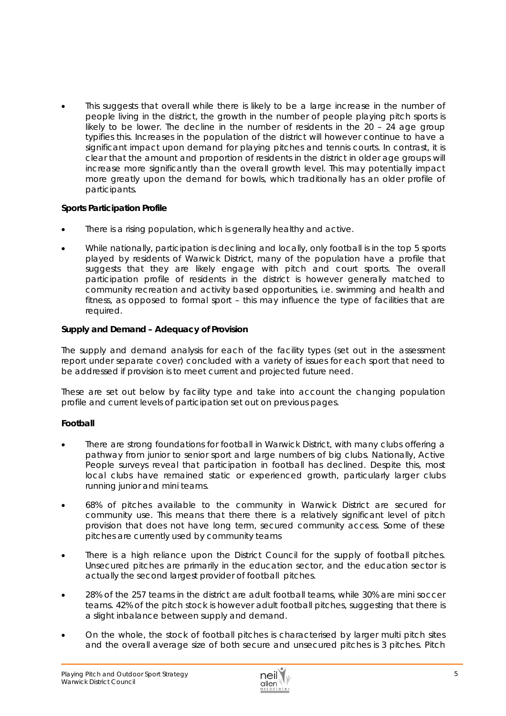This suggests that overall while there is likely to be a large increase in the number of people living in the district, the growth in the number of people playing pitch sports is likely to be lower. The decline in the number of residents in the 20 – 24 age group typifies this. Increases in the population of the district will however continue to have a significant impact upon demand for playing pitches and tennis courts. In contrast, it is clear that the amount and proportion of residents in the district in older age groups will increase more significantly than the overall growth level. This may potentially impact more greatly upon the demand for bowls, which traditionally has an older profile of participants.

## *Sports Participation Profile*

- There is a rising population, which is generally healthy and active.
- While nationally, participation is declining and locally, only football is in the top 5 sports played by residents of Warwick District, many of the population have a profile that suggests that they are likely engage with pitch and court sports. The overall participation profile of residents in the district is however generally matched to community recreation and activity based opportunities, i.e. swimming and health and fitness, as opposed to formal sport – this may influence the type of facilities that are required.

# *Supply and Demand – Adequacy of Provision*

The supply and demand analysis for each of the facility types (set out in the assessment report under separate cover) concluded with a variety of issues for each sport that need to be addressed if provision is to meet current and projected future need.

These are set out below by facility type and take into account the changing population profile and current levels of participation set out on previous pages.

## **Football**

- There are strong foundations for football in Warwick District, with many clubs offering a pathway from junior to senior sport and large numbers of big clubs. Nationally, Active People surveys reveal that participation in football has declined. Despite this, most local clubs have remained static or experienced growth, particularly larger clubs running junior and mini teams.
- 68% of pitches available to the community in Warwick District are secured for community use. This means that there there is a relatively significant level of pitch provision that does not have long term, secured community access. Some of these pitches are currently used by community teams
- There is a high reliance upon the District Council for the supply of football pitches. Unsecured pitches are primarily in the education sector, and the education sector is actually the second largest provider of football pitches.
- 28% of the 257 teams in the district are adult football teams, while 30% are mini soccer teams. 42% of the pitch stock is however adult football pitches, suggesting that there is a slight inbalance between supply and demand.
- On the whole, the stock of football pitches is characterised by larger multi pitch sites and the overall average size of both secure and unsecured pitches is 3 pitches. Pitch

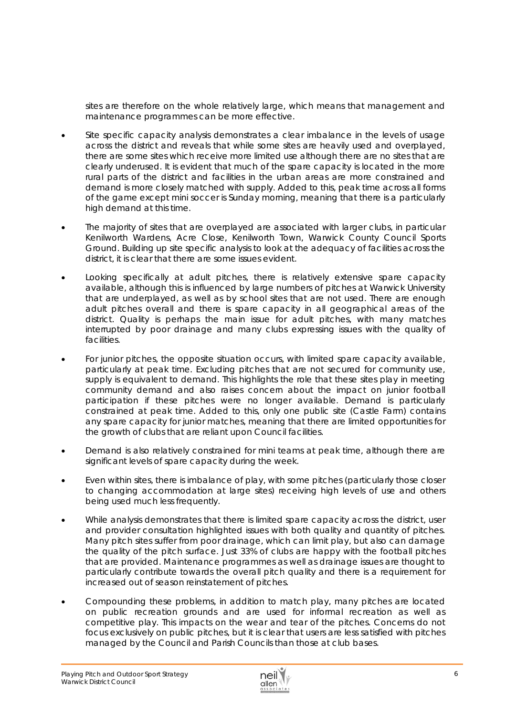sites are therefore on the whole relatively large, which means that management and maintenance programmes can be more effective.

- Site specific capacity analysis demonstrates a clear imbalance in the levels of usage across the district and reveals that while some sites are heavily used and overplayed, there are some sites which receive more limited use although there are no sites that are clearly underused. It is evident that much of the spare capacity is located in the more rural parts of the district and facilities in the urban areas are more constrained and demand is more closely matched with supply. Added to this, peak time across all forms of the game except mini soccer is Sunday morning, meaning that there is a particularly high demand at this time.
- The majority of sites that are overplayed are associated with larger clubs, in particular Kenilworth Wardens, Acre Close, Kenilworth Town, Warwick County Council Sports Ground. Building up site specific analysis to look at the adequacy of facilities across the district, it is clear that there are some issues evident.
- Looking specifically at adult pitches, there is relatively extensive spare capacity available, although this is influenced by large numbers of pitches at Warwick University that are underplayed, as well as by school sites that are not used. There are enough adult pitches overall and there is spare capacity in all geographical areas of the district. Quality is perhaps the main issue for adult pitches, with many matches interrupted by poor drainage and many clubs expressing issues with the quality of facilities.
- For junior pitches, the opposite situation occurs, with limited spare capacity available, particularly at peak time. Excluding pitches that are not secured for community use, supply is equivalent to demand. This highlights the role that these sites play in meeting community demand and also raises concern about the impact on junior football participation if these pitches were no longer available. Demand is particularly constrained at peak time. Added to this, only one public site (Castle Farm) contains any spare capacity for junior matches, meaning that there are limited opportunities for the growth of clubs that are reliant upon Council facilities.
- Demand is also relatively constrained for mini teams at peak time, although there are significant levels of spare capacity during the week.
- Even within sites, there is imbalance of play, with some pitches (particularly those closer to changing accommodation at large sites) receiving high levels of use and others being used much less frequently.
- While analysis demonstrates that there is limited spare capacity across the district, user and provider consultation highlighted issues with both quality and quantity of pitches. Many pitch sites suffer from poor drainage, which can limit play, but also can damage the quality of the pitch surface. Just 33% of clubs are happy with the football pitches that are provided. Maintenance programmes as well as drainage issues are thought to particularly contribute towards the overall pitch quality and there is a requirement for increased out of season reinstatement of pitches.
- Compounding these problems, in addition to match play, many pitches are located on public recreation grounds and are used for informal recreation as well as competitive play. This impacts on the wear and tear of the pitches. Concerns do not focus exclusively on public pitches, but it is clear that users are less satisfied with pitches managed by the Council and Parish Councils than those at club bases.

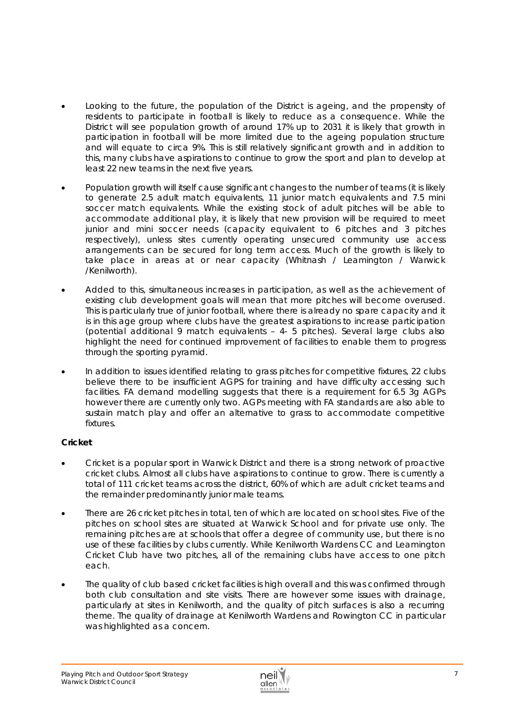- Looking to the future, the population of the District is ageing, and the propensity of residents to participate in football is likely to reduce as a consequence. While the District will see population growth of around 17% up to 2031 it is likely that growth in participation in football will be more limited due to the ageing population structure and will equate to circa 9%. This is still relatively significant growth and in addition to this, many clubs have aspirations to continue to grow the sport and plan to develop at least 22 new teams in the next five years.
- Population growth will itself cause significant changes to the number of teams (it is likely to generate 2.5 adult match equivalents, 11 junior match equivalents and 7.5 mini soccer match equivalents. While the existing stock of adult pitches will be able to accommodate additional play, it is likely that new provision will be required to meet junior and mini soccer needs (capacity equivalent to 6 pitches and 3 pitches respectively), unless sites currently operating unsecured community use access arrangements can be secured for long term access. Much of the growth is likely to take place in areas at or near capacity (Whitnash / Leamington / Warwick /Kenilworth).
- Added to this, simultaneous increases in participation, as well as the achievement of existing club development goals will mean that more pitches will become overused. This is particularly true of junior football, where there is already no spare capacity and it is in this age group where clubs have the greatest aspirations to increase participation (potential additional 9 match equivalents – 4- 5 pitches). Several large clubs also highlight the need for continued improvement of facilities to enable them to progress through the sporting pyramid.
- In addition to issues identified relating to grass pitches for competitive fixtures, 22 clubs believe there to be insufficient AGPS for training and have difficulty accessing such facilities. FA demand modelling suggests that there is a requirement for 6.5 3g AGPs however there are currently only two. AGPs meeting with FA standards are also able to sustain match play and offer an alternative to grass to accommodate competitive fixtures.

# **Cricket**

- Cricket is a popular sport in Warwick District and there is a strong network of proactive cricket clubs. Almost all clubs have aspirations to continue to grow. There is currently a total of 111 cricket teams across the district, 60% of which are adult cricket teams and the remainder predominantly junior male teams.
- There are 26 cricket pitches in total, ten of which are located on school sites. Five of the pitches on school sites are situated at Warwick School and for private use only. The remaining pitches are at schools that offer a degree of community use, but there is no use of these facilities by clubs currently. While Kenilworth Wardens CC and Leamington Cricket Club have two pitches, all of the remaining clubs have access to one pitch each.
- The quality of club based cricket facilities is high overall and this was confirmed through both club consultation and site visits. There are however some issues with drainage, particularly at sites in Kenilworth, and the quality of pitch surfaces is also a recurring theme. The quality of drainage at Kenilworth Wardens and Rowington CC in particular was highlighted as a concern.

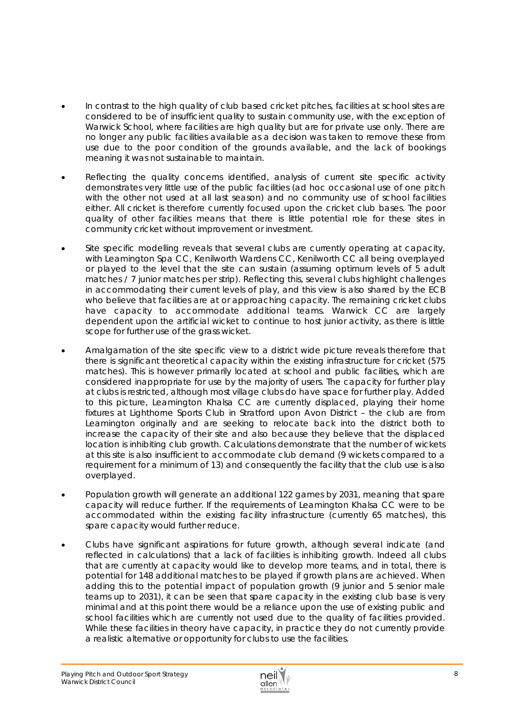- In contrast to the high quality of club based cricket pitches, facilities at school sites are considered to be of insufficient quality to sustain community use, with the exception of Warwick School, where facilities are high quality but are for private use only. There are no longer any public facilities available as a decision was taken to remove these from use due to the poor condition of the grounds available, and the lack of bookings meaning it was not sustainable to maintain.
- Reflecting the quality concerns identified, analysis of current site specific activity demonstrates very little use of the public facilities (ad hoc occasional use of one pitch with the other not used at all last season) and no community use of school facilities either. All cricket is therefore currently focused upon the cricket club bases. The poor quality of other facilities means that there is little potential role for these sites in community cricket without improvement or investment.
- Site specific modelling reveals that several clubs are currently operating at capacity, with Leamington Spa CC, Kenilworth Wardens CC, Kenilworth CC all being overplayed or played to the level that the site can sustain (assuming optimum levels of 5 adult matches / 7 junior matches per strip). Reflecting this, several clubs highlight challenges in accommodating their current levels of play, and this view is also shared by the ECB who believe that facilities are at or approaching capacity. The remaining cricket clubs have capacity to accommodate additional teams. Warwick CC are largely dependent upon the artificial wicket to continue to host junior activity, as there is little scope for further use of the grass wicket.
- Amalgamation of the site specific view to a district wide picture reveals therefore that there is significant theoretical capacity within the existing infrastructure for cricket (575 matches). This is however primarily located at school and public facilities, which are considered inappropriate for use by the majority of users. The capacity for further play at clubs is restricted, although most village clubs do have space for further play. Added to this picture, Leamington Khalsa CC are currently displaced, playing their home fixtures at Lighthorne Sports Club in Stratford upon Avon District – the club are from Leamington originally and are seeking to relocate back into the district both to increase the capacity of their site and also because they believe that the displaced location is inhibiting club growth. Calculations demonstrate that the number of wickets at this site is also insufficient to accommodate club demand (9 wickets compared to a requirement for a minimum of 13) and consequently the facility that the club use is also overplayed.
- Population growth will generate an additional 122 games by 2031, meaning that spare capacity will reduce further. If the requirements of Leamington Khalsa CC were to be accommodated within the existing facility infrastructure (currently 65 matches), this spare capacity would further reduce.
- Clubs have significant aspirations for future growth, although several indicate (and reflected in calculations) that a lack of facilities is inhibiting growth. Indeed all clubs that are currently at capacity would like to develop more teams, and in total, there is potential for 148 additional matches to be played if growth plans are achieved. When adding this to the potential impact of population growth (9 junior and 5 senior male teams up to 2031), it can be seen that spare capacity in the existing club base is very minimal and at this point there would be a reliance upon the use of existing public and school facilities which are currently not used due to the quality of facilities provided. While these facilities in theory have capacity, in practice they do not currently provide a realistic alternative or opportunity for clubs to use the facilities.

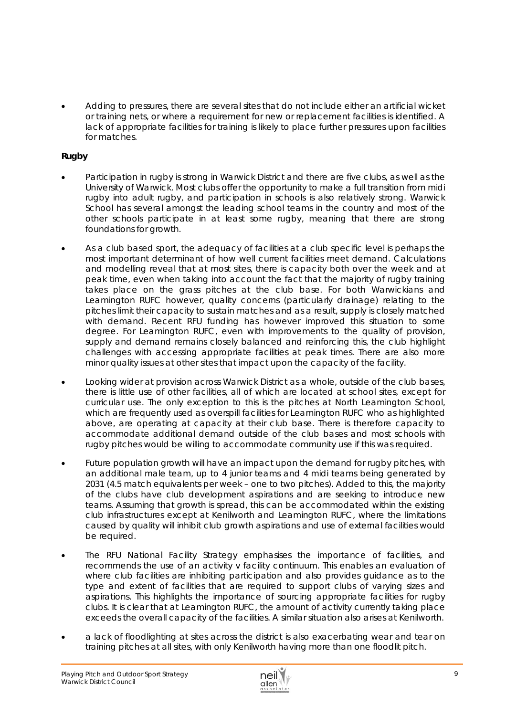Adding to pressures, there are several sites that do not include either an artificial wicket or training nets, or where a requirement for new or replacement facilities is identified. A lack of appropriate facilities for training is likely to place further pressures upon facilities for matches.

# *Rugby*

- Participation in rugby is strong in Warwick District and there are five clubs, as well as the University of Warwick. Most clubs offer the opportunity to make a full transition from midi rugby into adult rugby, and participation in schools is also relatively strong. Warwick School has several amongst the leading school teams in the country and most of the other schools participate in at least some rugby, meaning that there are strong foundations for growth.
- As a club based sport, the adequacy of facilities at a club specific level is perhaps the most important determinant of how well current facilities meet demand. Calculations and modelling reveal that at most sites, there is capacity both over the week and at peak time, even when taking into account the fact that the majority of rugby training takes place on the grass pitches at the club base. For both Warwickians and Leamington RUFC however, quality concerns (particularly drainage) relating to the pitches limit their capacity to sustain matches and as a result, supply is closely matched with demand. Recent RFU funding has however improved this situation to some degree. For Leamington RUFC, even with improvements to the quality of provision, supply and demand remains closely balanced and reinforcing this, the club highlight challenges with accessing appropriate facilities at peak times. There are also more minor quality issues at other sites that impact upon the capacity of the facility.
- Looking wider at provision across Warwick District as a whole, outside of the club bases, there is little use of other facilities, all of which are located at school sites, except for curricular use. The only exception to this is the pitches at North Leamington School, which are frequently used as overspill facilities for Leamington RUFC who as highlighted above, are operating at capacity at their club base. There is therefore capacity to accommodate additional demand outside of the club bases and most schools with rugby pitches would be willing to accommodate community use if this was required.
- Future population growth will have an impact upon the demand for rugby pitches, with an additional male team, up to 4 junior teams and 4 midi teams being generated by 2031 (4.5 match equivalents per week – one to two pitches). Added to this, the majority of the clubs have club development aspirations and are seeking to introduce new teams. Assuming that growth is spread, this can be accommodated within the existing club infrastructures except at Kenilworth and Leamington RUFC, where the limitations caused by quality will inhibit club growth aspirations and use of external facilities would be required.
- The RFU National Facility Strategy emphasises the importance of facilities, and recommends the use of an activity v facility continuum. This enables an evaluation of where club facilities are inhibiting participation and also provides guidance as to the type and extent of facilities that are required to support clubs of varying sizes and aspirations. This highlights the importance of sourcing appropriate facilities for rugby clubs. It is clear that at Leamington RUFC, the amount of activity currently taking place exceeds the overall capacity of the facilities. A similar situation also arises at Kenilworth.
- a lack of floodlighting at sites across the district is also exacerbating wear and tear on training pitches at all sites, with only Kenilworth having more than one floodlit pitch.

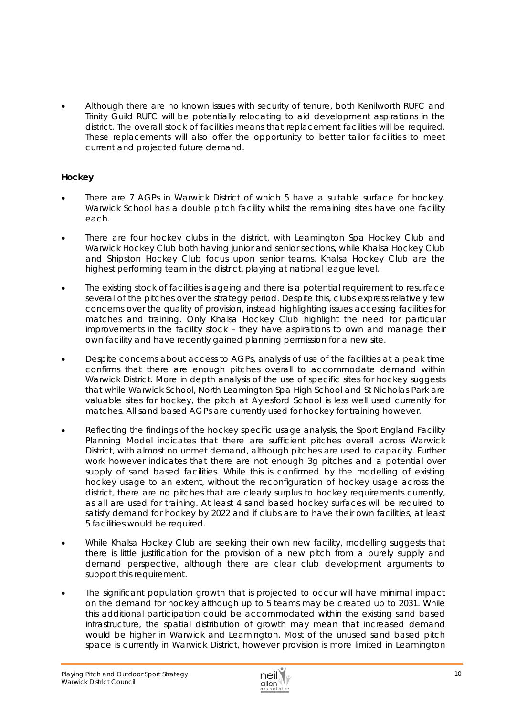Although there are no known issues with security of tenure, both Kenilworth RUFC and Trinity Guild RUFC will be potentially relocating to aid development aspirations in the district. The overall stock of facilities means that replacement facilities will be required. These replacements will also offer the opportunity to better tailor facilities to meet current and projected future demand.

# *Hockey*

- There are 7 AGPs in Warwick District of which 5 have a suitable surface for hockey. Warwick School has a double pitch facility whilst the remaining sites have one facility each.
- There are four hockey clubs in the district, with Leamington Spa Hockey Club and Warwick Hockey Club both having junior and senior sections, while Khalsa Hockey Club and Shipston Hockey Club focus upon senior teams. Khalsa Hockey Club are the highest performing team in the district, playing at national league level.
- The existing stock of facilities is ageing and there is a potential requirement to resurface several of the pitches over the strategy period. Despite this, clubs express relatively few concerns over the quality of provision, instead highlighting issues accessing facilities for matches and training. Only Khalsa Hockey Club highlight the need for particular improvements in the facility stock – they have aspirations to own and manage their own facility and have recently gained planning permission for a new site.
- Despite concerns about access to AGPs, analysis of use of the facilities at a peak time confirms that there are enough pitches overall to accommodate demand within Warwick District. More in depth analysis of the use of specific sites for hockey suggests that while Warwick School, North Leamington Spa High School and St Nicholas Park are valuable sites for hockey, the pitch at Aylesford School is less well used currently for matches. All sand based AGPs are currently used for hockey for training however.
- Reflecting the findings of the hockey specific usage analysis, the Sport England Facility Planning Model indicates that there are sufficient pitches overall across Warwick District, with almost no unmet demand, although pitches are used to capacity. Further work however indicates that there are not enough 3g pitches and a potential over supply of sand based facilities. While this is confirmed by the modelling of existing hockey usage to an extent, without the reconfiguration of hockey usage across the district, there are no pitches that are clearly surplus to hockey requirements currently, as all are used for training. At least 4 sand based hockey surfaces will be required to satisfy demand for hockey by 2022 and if clubs are to have their own facilities, at least 5 facilities would be required.
- While Khalsa Hockey Club are seeking their own new facility, modelling suggests that there is little justification for the provision of a new pitch from a purely supply and demand perspective, although there are clear club development arguments to support this requirement.
- The significant population growth that is projected to occur will have minimal impact on the demand for hockey although up to 5 teams may be created up to 2031. While this additional participation could be accommodated within the existing sand based infrastructure, the spatial distribution of growth may mean that increased demand would be higher in Warwick and Leamington. Most of the unused sand based pitch space is currently in Warwick District, however provision is more limited in Leamington

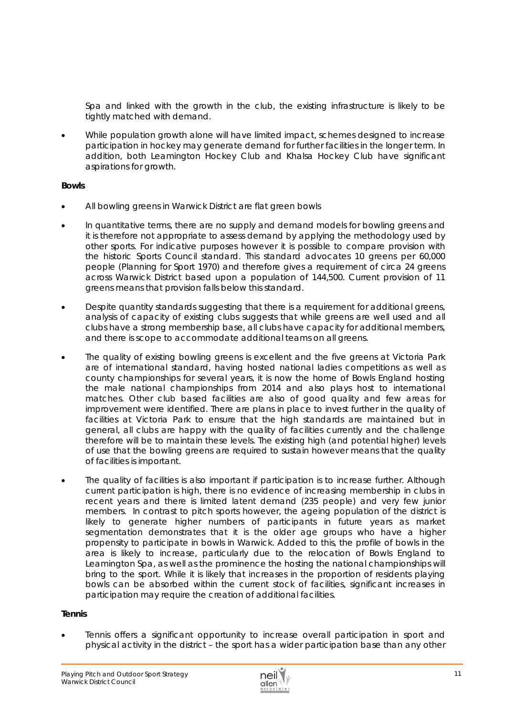Spa and linked with the growth in the club, the existing infrastructure is likely to be tightly matched with demand.

 While population growth alone will have limited impact, schemes designed to increase participation in hockey may generate demand for further facilities in the longer term. In addition, both Leamington Hockey Club and Khalsa Hockey Club have significant aspirations for growth.

## **Bowls**

- All bowling greens in Warwick District are flat green bowls
- In quantitative terms, there are no supply and demand models for bowling greens and it is therefore not appropriate to assess demand by applying the methodology used by other sports. For indicative purposes however it is possible to compare provision with the historic Sports Council standard. This standard advocates 10 greens per 60,000 people *(Planning for Sport 1970)* and therefore gives a requirement of circa 24 greens across Warwick District based upon a population of 144,500. Current provision of 11 greens means that provision falls below this standard.
- Despite quantity standards suggesting that there is a requirement for additional greens, analysis of capacity of existing clubs suggests that while greens are well used and all clubs have a strong membership base, all clubs have capacity for additional members, and there is scope to accommodate additional teams on all greens.
- The quality of existing bowling greens is excellent and the five greens at Victoria Park are of international standard, having hosted national ladies competitions as well as county championships for several years, it is now the home of Bowls England hosting the male national championships from 2014 and also plays host to international matches. Other club based facilities are also of good quality and few areas for improvement were identified. There are plans in place to invest further in the quality of facilities at Victoria Park to ensure that the high standards are maintained but in general, all clubs are happy with the quality of facilities currently and the challenge therefore will be to maintain these levels. The existing high (and potential higher) levels of use that the bowling greens are required to sustain however means that the quality of facilities is important.
- The quality of facilities is also important if participation is to increase further. Although current participation is high, there is no evidence of increasing membership in clubs in recent years and there is limited latent demand (235 people) and very few junior members. In contrast to pitch sports however, the ageing population of the district is likely to generate higher numbers of participants in future years as market segmentation demonstrates that it is the older age groups who have a higher propensity to participate in bowls in Warwick. Added to this, the profile of bowls in the area is likely to increase, particularly due to the relocation of Bowls England to Leamington Spa, as well as the prominence the hosting the national championships will bring to the sport. While it is likely that increases in the proportion of residents playing bowls can be absorbed within the current stock of facilities, significant increases in participation may require the creation of additional facilities.

## **Tennis**

 Tennis offers a significant opportunity to increase overall participation in sport and physical activity in the district – the sport has a wider participation base than any other

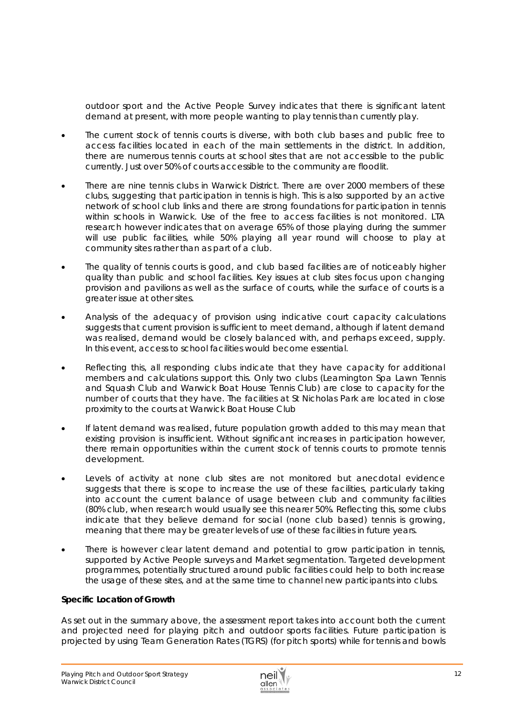outdoor sport and the Active People Survey indicates that there is significant latent demand at present, with more people wanting to play tennis than currently play.

- The current stock of tennis courts is diverse, with both club bases and public free to access facilities located in each of the main settlements in the district. In addition, there are numerous tennis courts at school sites that are not accessible to the public currently. Just over 50% of courts accessible to the community are floodlit.
- There are nine tennis clubs in Warwick District. There are over 2000 members of these clubs, suggesting that participation in tennis is high. This is also supported by an active network of school club links and there are strong foundations for participation in tennis within schools in Warwick. Use of the free to access facilities is not monitored. LTA research however indicates that on average 65% of those playing during the summer will use public facilities, while 50% playing all year round will choose to play at community sites rather than as part of a club.
- The quality of tennis courts is good, and club based facilities are of noticeably higher quality than public and school facilities. Key issues at club sites focus upon changing provision and pavilions as well as the surface of courts, while the surface of courts is a greater issue at other sites.
- Analysis of the adequacy of provision using indicative court capacity calculations suggests that current provision is sufficient to meet demand, although if latent demand was realised, demand would be closely balanced with, and perhaps exceed, supply. In this event, access to school facilities would become essential.
- Reflecting this, all responding clubs indicate that they have capacity for additional members and calculations support this. Only two clubs (Leamington Spa Lawn Tennis and Squash Club and Warwick Boat House Tennis Club) are close to capacity for the number of courts that they have. The facilities at St Nicholas Park are located in close proximity to the courts at Warwick Boat House Club
- If latent demand was realised, future population growth added to this may mean that existing provision is insufficient. Without significant increases in participation however, there remain opportunities within the current stock of tennis courts to promote tennis development.
- Levels of activity at none club sites are not monitored but anecdotal evidence suggests that there is scope to increase the use of these facilities, particularly taking into account the current balance of usage between club and community facilities (80% club, when research would usually see this nearer 50%. Reflecting this, some clubs indicate that they believe demand for social (none club based) tennis is growing, meaning that there may be greater levels of use of these facilities in future years.
- There is however clear latent demand and potential to grow participation in tennis, supported by Active People surveys and Market segmentation. Targeted development programmes, potentially structured around public facilities could help to both increase the usage of these sites, and at the same time to channel new participants into clubs.

## *Specific Location of Growth*

As set out in the summary above, the assessment report takes into account both the current and projected need for playing pitch and outdoor sports facilities. Future participation is projected by using Team Generation Rates (TGRS) (for pitch sports) while for tennis and bowls

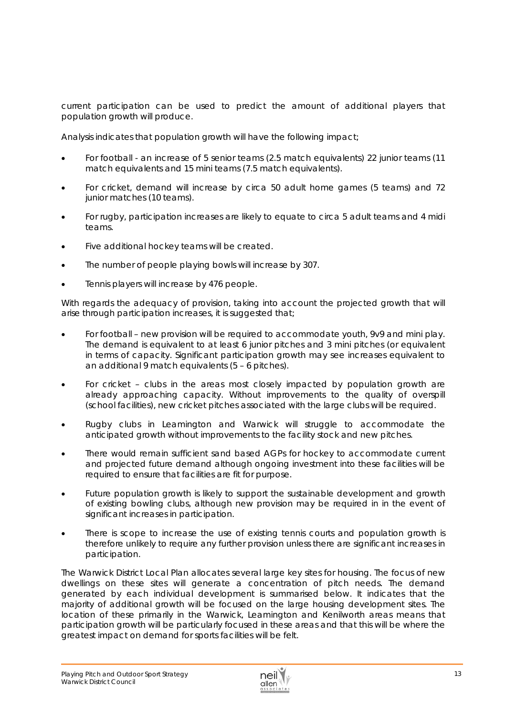current participation can be used to predict the amount of additional players that population growth will produce.

Analysis indicates that population growth will have the following impact;

- For football an increase of 5 senior teams (2.5 match equivalents) 22 junior teams (11 match equivalents and 15 mini teams (7.5 match equivalents).
- For cricket, demand will increase by circa 50 adult home games (5 teams) and 72 junior matches (10 teams).
- For rugby, participation increases are likely to equate to circa 5 adult teams and 4 midi teams.
- Five additional hockey teams will be created.
- The number of people playing bowls will increase by 307.
- Tennis players will increase by 476 people.

With regards the adequacy of provision, taking into account the projected growth that will arise through participation increases, it is suggested that:

- For football new provision will be required to accommodate youth, 9v9 and mini play. The demand is equivalent to at least 6 junior pitches and 3 mini pitches (or equivalent in terms of capacity. Significant participation growth may see increases equivalent to an additional 9 match equivalents (5 – 6 pitches).
- For cricket clubs in the areas most closely impacted by population growth are already approaching capacity. Without improvements to the quality of overspill (school facilities), new cricket pitches associated with the large clubs will be required.
- Rugby clubs in Leamington and Warwick will struggle to accommodate the anticipated growth without improvements to the facility stock and new pitches.
- There would remain sufficient sand based AGPs for hockey to accommodate current and projected future demand although ongoing investment into these facilities will be required to ensure that facilities are fit for purpose.
- Future population growth is likely to support the sustainable development and growth of existing bowling clubs, although new provision may be required in in the event of significant increases in participation.
- There is scope to increase the use of existing tennis courts and population growth is therefore unlikely to require any further provision unless there are significant increases in participation.

The Warwick District Local Plan allocates several large key sites for housing. The focus of new dwellings on these sites will generate a concentration of pitch needs. The demand generated by each individual development is summarised below. It indicates that the majority of additional growth will be focused on the large housing development sites. The location of these primarily in the Warwick, Leamington and Kenilworth areas means that participation growth will be particularly focused in these areas and that this will be where the greatest impact on demand for sports facilities will be felt.

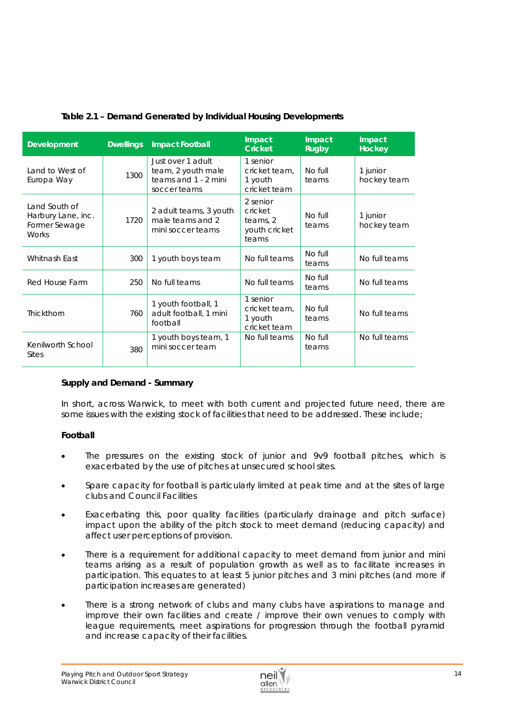| Development                                                          | <b>Dwellings</b> | <b>Impact Football</b>                                                          | Impact<br><b>Cricket</b>                                  | Impact<br><b>Rugby</b> | Impact<br><b>Hockey</b> |
|----------------------------------------------------------------------|------------------|---------------------------------------------------------------------------------|-----------------------------------------------------------|------------------------|-------------------------|
| Land to West of<br>Europa Way                                        | 1300             | Just over 1 adult<br>team, 2 youth male<br>teams and 1 - 2 mini<br>soccer teams | 1 senior<br>cricket team,<br>1 youth<br>cricket team      | No full<br>teams       | 1 junior<br>hockey team |
| Land South of<br>Harbury Lane, inc.<br>Former Sewage<br><b>Works</b> | 1720             | 2 adult teams, 3 youth<br>male teams and 2<br>mini soccer teams                 | 2 senior<br>cricket<br>teams, 2<br>youth cricket<br>teams | No full<br>teams       | 1 junior<br>hockey team |
| Whitnash East                                                        | 300              | 1 youth boys team                                                               | No full teams                                             | No full<br>teams       | No full teams           |
| Red House Farm<br>250<br>No full teams                               |                  |                                                                                 | No full teams                                             | No full<br>teams       | No full teams           |
| Thickthorn                                                           | 760              | 1 youth football, 1<br>adult football, 1 mini<br>football                       | 1 senior<br>cricket team,<br>1 youth<br>cricket team      | No full<br>teams       | No full teams           |
| Kenilworth School<br><b>Sites</b>                                    | 380              | 1 youth boys team, 1<br>mini soccer team                                        | No full teams                                             | No full<br>teams       | No full teams           |

# **Table 2.1 – Demand Generated by Individual Housing Developments**

## *Supply and Demand - Summary*

In short, across Warwick, to meet with both current and projected future need, there are some issues with the existing stock of facilities that need to be addressed. These include;

#### **Football**

- The pressures on the existing stock of junior and 9v9 football pitches, which is exacerbated by the use of pitches at unsecured school sites.
- Spare capacity for football is particularly limited at peak time and at the sites of large clubs and Council Facilities
- Exacerbating this, poor quality facilities (particularly drainage and pitch surface) impact upon the ability of the pitch stock to meet demand (reducing capacity) and affect user perceptions of provision.
- There is a requirement for additional capacity to meet demand from junior and mini teams arising as a result of population growth as well as to facilitate increases in participation. This equates to at least 5 junior pitches and 3 mini pitches (and more if participation increases are generated)
- There is a strong network of clubs and many clubs have aspirations to manage and improve their own facilities and create / improve their own venues to comply with league requirements, meet aspirations for progression through the football pyramid and increase capacity of their facilities.

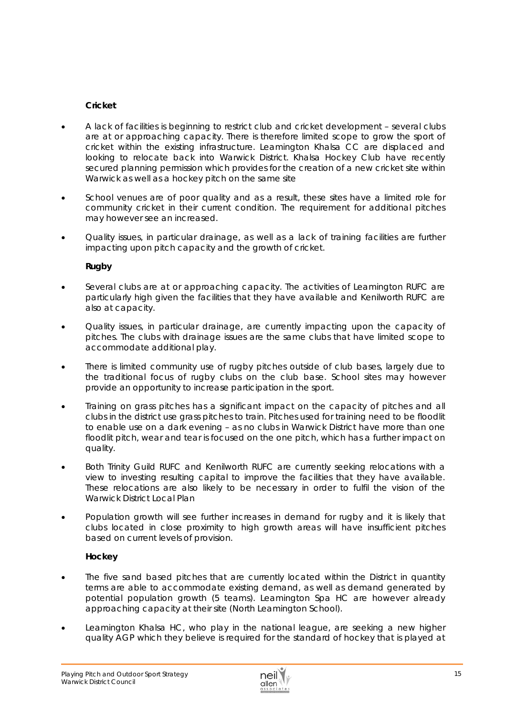# **Cricket**

- A lack of facilities is beginning to restrict club and cricket development several clubs are at or approaching capacity. There is therefore limited scope to grow the sport of cricket within the existing infrastructure. Leamington Khalsa CC are displaced and looking to relocate back into Warwick District. Khalsa Hockey Club have recently secured planning permission which provides for the creation of a new cricket site within Warwick as well as a hockey pitch on the same site
- School venues are of poor quality and as a result, these sites have a limited role for community cricket in their current condition. The requirement for additional pitches may however see an increased.
- Quality issues, in particular drainage, as well as a lack of training facilities are further impacting upon pitch capacity and the growth of cricket.

# **Rugby**

- Several clubs are at or approaching capacity. The activities of Leamington RUFC are particularly high given the facilities that they have available and Kenilworth RUFC are also at capacity.
- Quality issues, in particular drainage, are currently impacting upon the capacity of pitches. The clubs with drainage issues are the same clubs that have limited scope to accommodate additional play.
- There is limited community use of rugby pitches outside of club bases, largely due to the traditional focus of rugby clubs on the club base. School sites may however provide an opportunity to increase participation in the sport.
- Training on grass pitches has a significant impact on the capacity of pitches and all clubs in the district use grass pitches to train. Pitches used for training need to be floodlit to enable use on a dark evening – as no clubs in Warwick District have more than one floodlit pitch, wear and tear is focused on the one pitch, which has a further impact on quality.
- Both Trinity Guild RUFC and Kenilworth RUFC are currently seeking relocations with a view to investing resulting capital to improve the facilities that they have available. These relocations are also likely to be necessary in order to fulfil the vision of the Warwick District Local Plan
- Population growth will see further increases in demand for rugby and it is likely that clubs located in close proximity to high growth areas will have insufficient pitches based on current levels of provision.

# **Hockey**

- The five sand based pitches that are currently located within the District in quantity terms are able to accommodate existing demand, as well as demand generated by potential population growth (5 teams). Leamington Spa HC are however already approaching capacity at their site (North Leamington School).
- Leamington Khalsa HC, who play in the national league, are seeking a new higher quality AGP which they believe is required for the standard of hockey that is played at

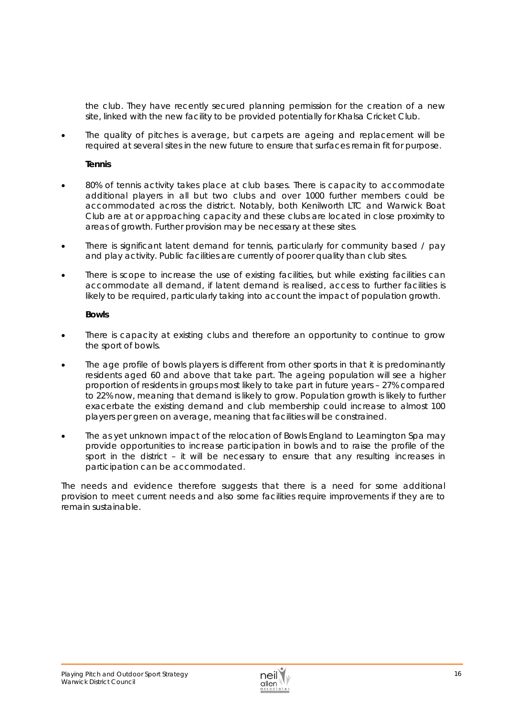the club. They have recently secured planning permission for the creation of a new site, linked with the new facility to be provided potentially for Khalsa Cricket Club.

 The quality of pitches is average, but carpets are ageing and replacement will be required at several sites in the new future to ensure that surfaces remain fit for purpose.

#### **Tennis**

- 80% of tennis activity takes place at club bases. There is capacity to accommodate additional players in all but two clubs and over 1000 further members could be accommodated across the district. Notably, both Kenilworth LTC and Warwick Boat Club are at or approaching capacity and these clubs are located in close proximity to areas of growth. Further provision may be necessary at these sites.
- There is significant latent demand for tennis, particularly for community based / pay and play activity. Public facilities are currently of poorer quality than club sites.
- There is scope to increase the use of existing facilities, but while existing facilities can accommodate all demand, if latent demand is realised, access to further facilities is likely to be required, particularly taking into account the impact of population growth.

#### **Bowls**

- There is capacity at existing clubs and therefore an opportunity to continue to grow the sport of bowls.
- The age profile of bowls players is different from other sports in that it is predominantly residents aged 60 and above that take part. The ageing population will see a higher proportion of residents in groups most likely to take part in future years – 27% compared to 22% now, meaning that demand is likely to grow. Population growth is likely to further exacerbate the existing demand and club membership could increase to almost 100 players per green on average, meaning that facilities will be constrained.
- The as yet unknown impact of the relocation of Bowls England to Leamington Spa may provide opportunities to increase participation in bowls and to raise the profile of the sport in the district – it will be necessary to ensure that any resulting increases in participation can be accommodated.

The needs and evidence therefore suggests that there is a need for some *additional provision to meet current needs and also some facilities require improvements if they are to remain sustainable.* 

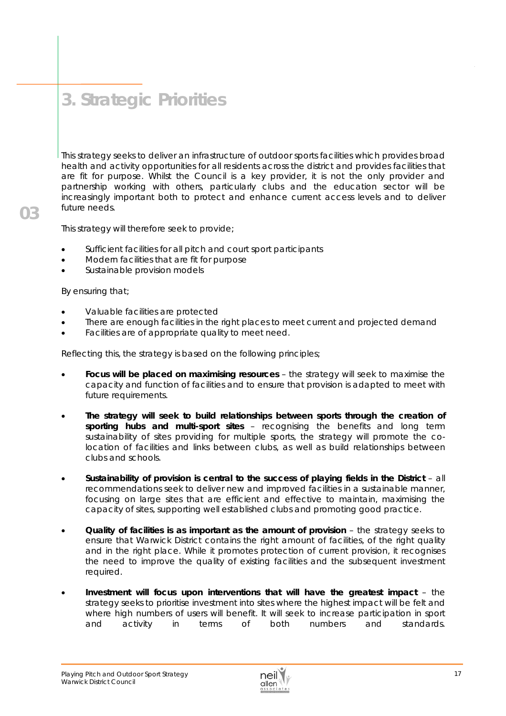# **3. Strategic Priorities**

This strategy seeks to deliver an infrastructure of outdoor sports facilities which provides broad health and activity opportunities for all residents across the district and provides facilities that are fit for purpose. Whilst the Council is a key provider, it is not the only provider and partnership working with others, particularly clubs and the education sector will be increasingly important both to protect and enhance current access levels and to deliver future needs.

This strategy will therefore seek to provide;

- Sufficient facilities for all pitch and court sport participants
- Modern facilities that are fit for purpose
- Sustainable provision models

By ensuring that;

- Valuable facilities are protected
- There are enough facilities in the right places to meet current and projected demand
- Facilities are of appropriate quality to meet need.

Reflecting this, the strategy is based on the following principles;

- **Focus will be placed on maximising resources** the strategy will seek to maximise the capacity and function of facilities and to ensure that provision is adapted to meet with future requirements.
- **The strategy will seek to build relationships between sports through the creation of sporting hubs and multi-sport sites** – recognising the benefits and long term sustainability of sites providing for multiple sports, the strategy will promote the colocation of facilities and links between clubs, as well as build relationships between clubs and schools.
- **Sustainability of provision is central to the success of playing fields in the District** all recommendations seek to deliver new and improved facilities in a sustainable manner, focusing on large sites that are efficient and effective to maintain, maximising the capacity of sites, supporting well established clubs and promoting good practice.
- **Quality of facilities is as important as the amount of provision** the strategy seeks to ensure that Warwick District contains the right amount of facilities, of the right quality and in the right place. While it promotes protection of current provision, it recognises the need to improve the quality of existing facilities and the subsequent investment required.
- **Investment will focus upon interventions that will have the greatest impact** the strategy seeks to prioritise investment into sites where the highest impact will be felt and where high numbers of users will benefit. It will seek to increase participation in sport and activity in terms of both numbers and standards.

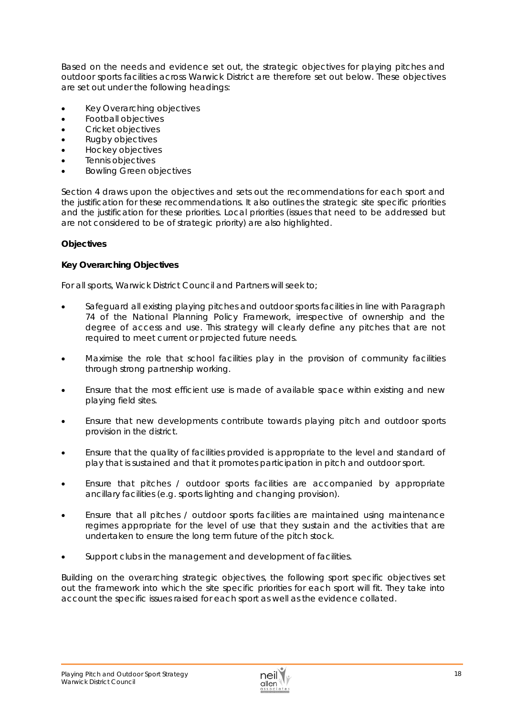Based on the needs and evidence set out, the strategic objectives for playing pitches and outdoor sports facilities across Warwick District are therefore set out below. These objectives are set out under the following headings:

- Key Overarching objectives
- Football objectives
- Cricket objectives
- Rugby objectives
- Hockey objectives
- Tennis objectives
- Bowling Green objectives

Section 4 draws upon the objectives and sets out the recommendations for each sport and the justification for these recommendations. It also outlines the strategic site specific priorities and the justification for these priorities. Local priorities (issues that need to be addressed but are not considered to be of strategic priority) are also highlighted.

# **Objectives**

## *Key Overarching Objectives*

For all sports, Warwick District Council and Partners will seek to;

- Safeguard all existing playing pitches and outdoor sports facilities in line with Paragraph 74 of the National Planning Policy Framework, irrespective of ownership and the degree of access and use. This strategy will clearly define any pitches that are not required to meet current or projected future needs.
- Maximise the role that school facilities play in the provision of community facilities through strong partnership working.
- Ensure that the most efficient use is made of available space within existing and new playing field sites.
- Ensure that new developments contribute towards playing pitch and outdoor sports provision in the district.
- Ensure that the quality of facilities provided is appropriate to the level and standard of play that is sustained and that it promotes participation in pitch and outdoor sport.
- Ensure that pitches / outdoor sports facilities are accompanied by appropriate ancillary facilities (e.g. sports lighting and changing provision).
- Ensure that all pitches / outdoor sports facilities are maintained using maintenance regimes appropriate for the level of use that they sustain and the activities that are undertaken to ensure the long term future of the pitch stock.
- Support clubs in the management and development of facilities.

Building on the overarching strategic objectives, the following sport specific objectives set out the framework into which the site specific priorities for each sport will fit. They take into account the specific issues raised for each sport as well as the evidence collated.

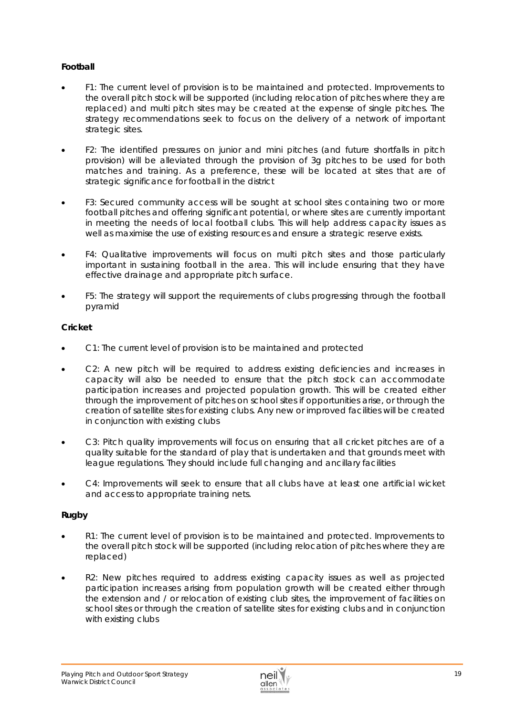# **Football**

- F1: The current level of provision is to be maintained and protected. Improvements to the overall pitch stock will be supported (including relocation of pitches where they are replaced) and multi pitch sites may be created at the expense of single pitches. The strategy recommendations seek to focus on the delivery of a network of important strategic sites.
- F2: The identified pressures on junior and mini pitches (and future shortfalls in pitch provision) will be alleviated through the provision of 3g pitches to be used for both matches and training. As a preference, these will be located at sites that are of strategic significance for football in the district
- F3: Secured community access will be sought at school sites containing two or more football pitches and offering significant potential, or where sites are currently important in meeting the needs of local football clubs. This will help address capacity issues as well as maximise the use of existing resources and ensure a strategic reserve exists.
- F4: Qualitative improvements will focus on multi pitch sites and those particularly important in sustaining football in the area. This will include ensuring that they have effective drainage and appropriate pitch surface.
- F5: The strategy will support the requirements of clubs progressing through the football pyramid

## **Cricket**

- C1: The current level of provision is to be maintained and protected
- C2: A new pitch will be required to address existing deficiencies and increases in capacity will also be needed to ensure that the pitch stock can accommodate participation increases and projected population growth. This will be created either through the improvement of pitches on school sites if opportunities arise, or through the creation of satellite sites for existing clubs. Any new or improved facilities will be created in conjunction with existing clubs
- C3: Pitch quality improvements will focus on ensuring that all cricket pitches are of a quality suitable for the standard of play that is undertaken and that grounds meet with league regulations. They should include full changing and ancillary facilities
- C4: Improvements will seek to ensure that all clubs have at least one artificial wicket and access to appropriate training nets.

# **Rugby**

- R1: The current level of provision is to be maintained and protected. Improvements to the overall pitch stock will be supported (including relocation of pitches where they are replaced)
- R2: New pitches required to address existing capacity issues as well as projected participation increases arising from population growth will be created either through the extension and / or relocation of existing club sites, the improvement of facilities on school sites or through the creation of satellite sites for existing clubs and in conjunction with existing clubs

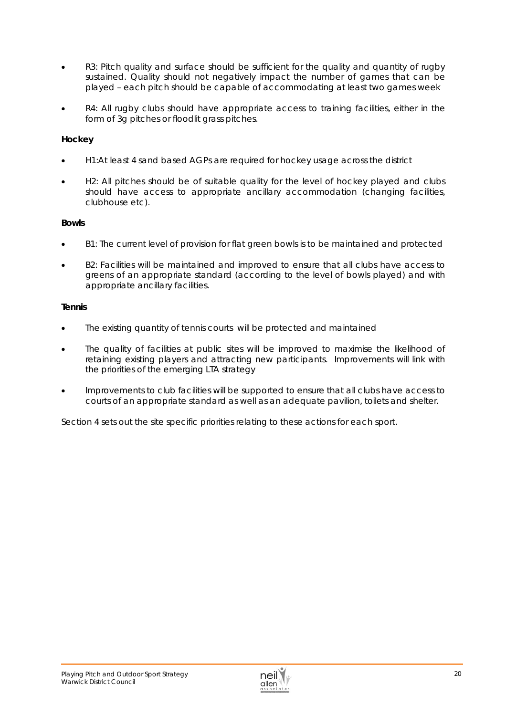- R3: Pitch quality and surface should be sufficient for the quality and quantity of rugby sustained. Quality should not negatively impact the number of games that can be played – each pitch should be capable of accommodating at least two games week
- R4: All rugby clubs should have appropriate access to training facilities, either in the form of 3g pitches or floodlit grass pitches.

# **Hockey**

- H1:At least 4 sand based AGPs are required for hockey usage across the district
- H2: All pitches should be of suitable quality for the level of hockey played and clubs should have access to appropriate ancillary accommodation (changing facilities, clubhouse etc).

## **Bowls**

- B1: The current level of provision for flat green bowls is to be maintained and protected
- B2: Facilities will be maintained and improved to ensure that all clubs have access to greens of an appropriate standard (according to the level of bowls played) and with appropriate ancillary facilities.

## **Tennis**

- The existing quantity of tennis courts will be protected and maintained
- The quality of facilities at public sites will be improved to maximise the likelihood of retaining existing players and attracting new participants. Improvements will link with the priorities of the emerging LTA strategy
- Improvements to club facilities will be supported to ensure that all clubs have access to courts of an appropriate standard as well as an adequate pavilion, toilets and shelter.

Section 4 sets out the site specific priorities relating to these actions for each sport.

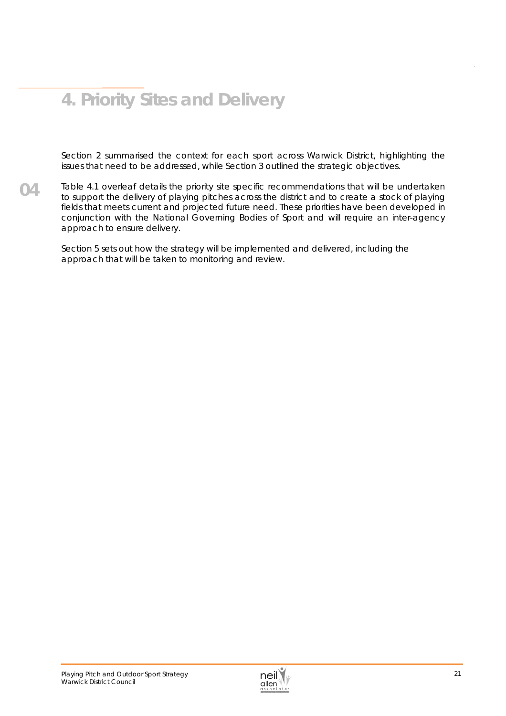# **4. Priority Sites and Delivery**

Section 2 summarised the context for each sport across Warwick District, highlighting the issues that need to be addressed, while Section 3 outlined the strategic objectives.

**04**  Table 4.1 overleaf details the priority site specific recommendations that will be undertaken to support the delivery of playing pitches across the district and to create a stock of playing fields that meets current and projected future need. These priorities have been developed in conjunction with the National Governing Bodies of Sport and will require an inter-agency approach to ensure delivery.

Section 5 sets out how the strategy will be implemented and delivered, including the approach that will be taken to monitoring and review.

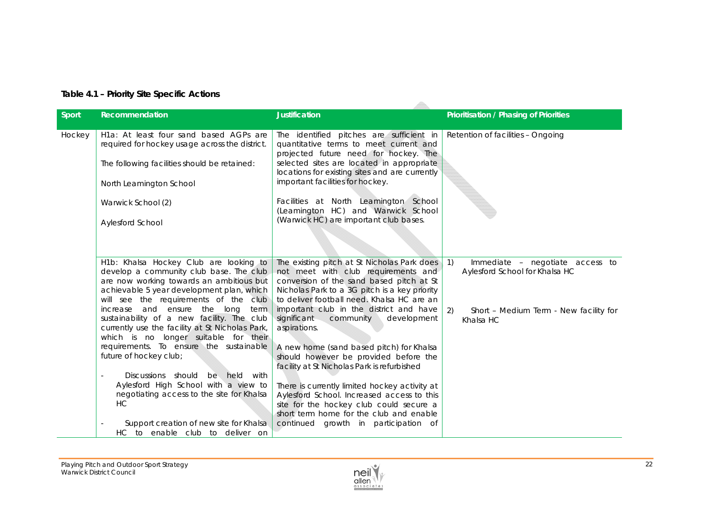| Table 4.1 - Priority Site Specific Actions |  |  |
|--------------------------------------------|--|--|
|                                            |  |  |

| <b>Sport</b> | Recommendation                                                                                                                                                                                                                                                                                                                                                                                                                                                                                                                                                                                                                                                                                                     | <b>Justification</b>                                                                                                                                                                                                                                                                                                                                                                                                                                                                                                                                                                                                                                                                                 | Prioritisation / Phasing of Priorities                                                                                                                                            |
|--------------|--------------------------------------------------------------------------------------------------------------------------------------------------------------------------------------------------------------------------------------------------------------------------------------------------------------------------------------------------------------------------------------------------------------------------------------------------------------------------------------------------------------------------------------------------------------------------------------------------------------------------------------------------------------------------------------------------------------------|------------------------------------------------------------------------------------------------------------------------------------------------------------------------------------------------------------------------------------------------------------------------------------------------------------------------------------------------------------------------------------------------------------------------------------------------------------------------------------------------------------------------------------------------------------------------------------------------------------------------------------------------------------------------------------------------------|-----------------------------------------------------------------------------------------------------------------------------------------------------------------------------------|
| Hockey       | H1a: At least four sand based AGPs are<br>required for hockey usage across the district.<br>The following facilities should be retained:<br>North Leamington School<br>Warwick School (2)<br>Aylesford School                                                                                                                                                                                                                                                                                                                                                                                                                                                                                                      | The identified pitches are sufficient in<br>quantitative terms to meet current and<br>projected future need for hockey. The<br>selected sites are located in appropriate<br>locations for existing sites and are currently<br>important facilities for hockey.<br>Facilities at North Leamington School<br>(Leamington HC) and Warwick School<br>(Warwick HC) are important club bases.                                                                                                                                                                                                                                                                                                              | Retention of facilities - Ongoing                                                                                                                                                 |
|              | H1b: Khalsa Hockey Club are looking to<br>develop a community club base. The club<br>are now working towards an ambitious but<br>achievable 5 year development plan, which<br>will see the requirements of the club<br>increase and ensure the long<br>term<br>sustainability of a new facility. The club<br>currently use the facility at St Nicholas Park,<br>which is no longer suitable for their<br>requirements. To ensure the sustainable<br>future of hockey club;<br>Discussions should be held with<br>$\overline{\phantom{a}}$<br>Aylesford High School with a view to<br>negotiating access to the site for Khalsa<br>HC<br>Support creation of new site for Khalsa<br>HC to enable club to deliver on | The existing pitch at St Nicholas Park does<br>not meet with club requirements and<br>conversion of the sand based pitch at St<br>Nicholas Park to a 3G pitch is a key priority<br>to deliver football need. Khalsa HC are an<br>important club in the district and have<br>significant<br>community<br>development<br>aspirations.<br>A new home (sand based pitch) for Khalsa<br>should however be provided before the<br>facility at St Nicholas Park is refurbished<br>There is currently limited hockey activity at<br>Aylesford School. Increased access to this<br>site for the hockey club could secure a<br>short term home for the club and enable<br>continued growth in participation of | $\left( \begin{array}{c} 1 \end{array} \right)$<br>Immediate - negotiate access to<br>Aylesford School for Khalsa HC<br>2)<br>Short - Medium Term - New facility for<br>Khalsa HC |

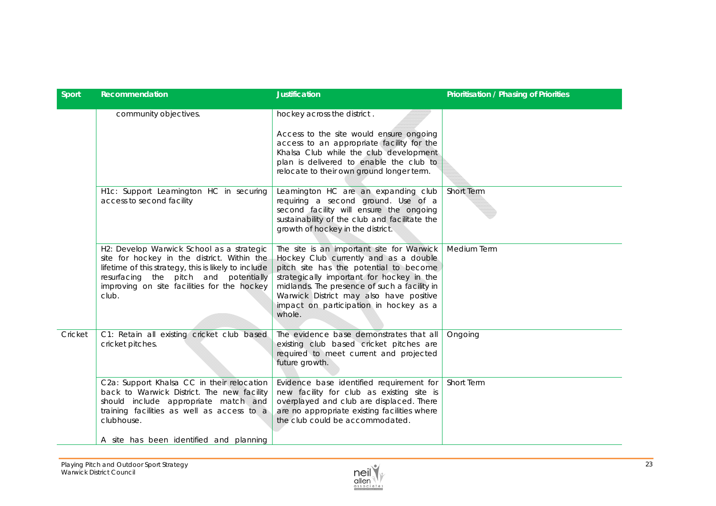| Sport   | Recommendation                                                                                                                                                                                                                                    | <b>Justification</b>                                                                                                                                                                                                                                                                                                     | <b>Prioritisation / Phasing of Priorities</b> |
|---------|---------------------------------------------------------------------------------------------------------------------------------------------------------------------------------------------------------------------------------------------------|--------------------------------------------------------------------------------------------------------------------------------------------------------------------------------------------------------------------------------------------------------------------------------------------------------------------------|-----------------------------------------------|
|         | community objectives.                                                                                                                                                                                                                             | hockey across the district.<br>Access to the site would ensure ongoing<br>access to an appropriate facility for the<br>Khalsa Club while the club development<br>plan is delivered to enable the club to<br>relocate to their own ground longer term.                                                                    |                                               |
|         | H1c: Support Leamington HC in securing<br>access to second facility                                                                                                                                                                               | Leamington HC are an expanding club<br>requiring a second ground. Use of a<br>second facility will ensure the ongoing<br>sustainability of the club and facilitate the<br>growth of hockey in the district.                                                                                                              | Short Term                                    |
|         | H2: Develop Warwick School as a strategic<br>site for hockey in the district. Within the<br>lifetime of this strategy, this is likely to include<br>resurfacing the pitch and potentially<br>improving on site facilities for the hockey<br>club. | The site is an important site for Warwick<br>Hockey Club currently and as a double<br>pitch site has the potential to become<br>strategically important for hockey in the<br>midlands. The presence of such a facility in<br>Warwick District may also have positive<br>impact on participation in hockey as a<br>whole. | Medium Term                                   |
| Cricket | C1: Retain all existing cricket club based<br>cricket pitches.                                                                                                                                                                                    | The evidence base demonstrates that all<br>existing club based cricket pitches are<br>required to meet current and projected<br>future growth.                                                                                                                                                                           | Ongoing                                       |
|         | C2a: Support Khalsa CC in their relocation<br>back to Warwick District. The new facility<br>should include appropriate match and<br>training facilities as well as access to a<br>clubhouse.<br>A site has been identified and planning           | Evidence base identified requirement for<br>new facility for club as existing site is<br>overplayed and club are displaced. There<br>are no appropriate existing facilities where<br>the club could be accommodated.                                                                                                     | Short Term                                    |

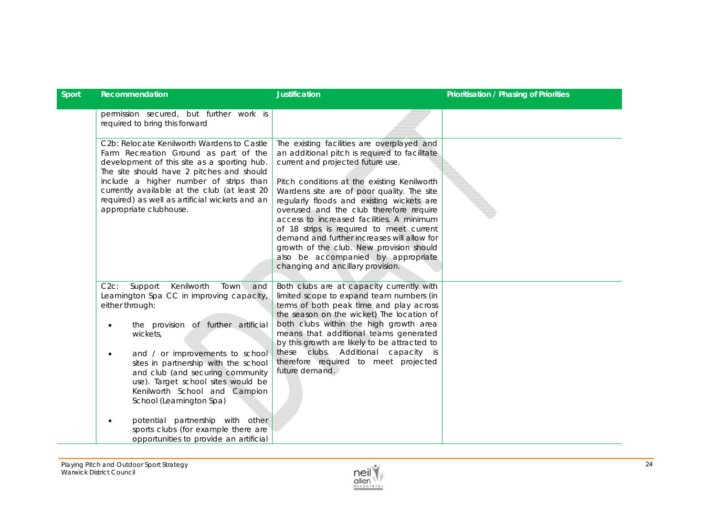| Recommendation                                                                                                                                                                                                                                                                                                                                                                                                                                                             | <b>Justification</b>                                                                                                                                                                                                                                                                                                                                                                                                                                                                                                                                                                 | <b>Prioritisation / Phasing of Priorities</b> |
|----------------------------------------------------------------------------------------------------------------------------------------------------------------------------------------------------------------------------------------------------------------------------------------------------------------------------------------------------------------------------------------------------------------------------------------------------------------------------|--------------------------------------------------------------------------------------------------------------------------------------------------------------------------------------------------------------------------------------------------------------------------------------------------------------------------------------------------------------------------------------------------------------------------------------------------------------------------------------------------------------------------------------------------------------------------------------|-----------------------------------------------|
| permission secured, but further work is<br>required to bring this forward                                                                                                                                                                                                                                                                                                                                                                                                  |                                                                                                                                                                                                                                                                                                                                                                                                                                                                                                                                                                                      |                                               |
| C2b: Relocate Kenilworth Wardens to Castle<br>Farm Recreation Ground as part of the<br>development of this site as a sporting hub.<br>The site should have 2 pitches and should<br>include a higher number of strips than<br>currently available at the club (at least 20<br>required) as well as artificial wickets and an<br>appropriate clubhouse.                                                                                                                      | The existing facilities are overplayed and<br>an additional pitch is required to facilitate<br>current and projected future use.<br>Pitch conditions at the existing Kenilworth<br>Wardens site are of poor quality. The site<br>regularly floods and existing wickets are<br>overused and the club therefore require<br>access to increased facilities. A minimum<br>of 18 strips is required to meet current<br>demand and further increases will allow for<br>growth of the club. New provision should<br>also be accompanied by appropriate<br>changing and ancillary provision. |                                               |
| Kenilworth<br>Town<br>$C2c$ :<br>Support<br>and<br>Leamington Spa CC in improving capacity,<br>either through:<br>the provision of further artificial<br>wickets,<br>and / or improvements to school<br>$\bullet$<br>sites in partnership with the school<br>and club (and securing community<br>use). Target school sites would be<br>Kenilworth School and Campion<br>School (Leamington Spa)<br>potential partnership with other<br>sports clubs (for example there are | Both clubs are at capacity currently with<br>limited scope to expand team numbers (in<br>terms of both peak time and play across<br>the season on the wicket) The location of<br>both clubs within the high growth area<br>means that additional teams generated<br>by this growth are likely to be attracted to<br>these clubs. Additional capacity is<br>therefore required to meet projected<br>future demand.                                                                                                                                                                    |                                               |
|                                                                                                                                                                                                                                                                                                                                                                                                                                                                            | opportunities to provide an artificial                                                                                                                                                                                                                                                                                                                                                                                                                                                                                                                                               |                                               |

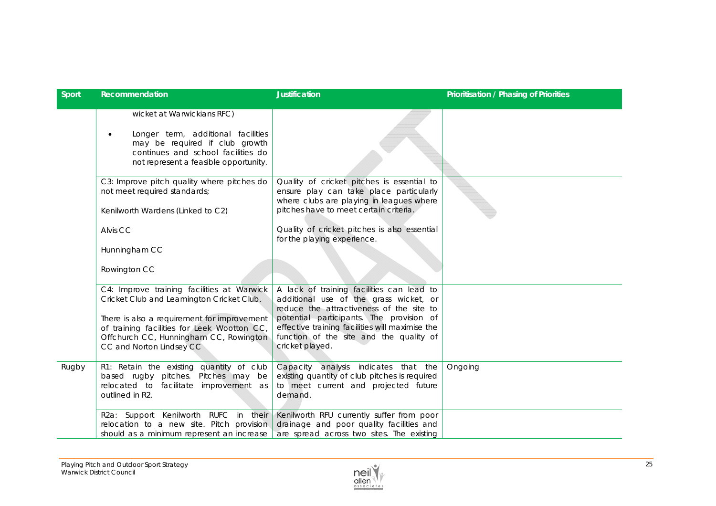| Sport | Recommendation                                                                                                                                                                                 | <b>Justification</b>                                                                                                                                                        | <b>Prioritisation / Phasing of Priorities</b> |
|-------|------------------------------------------------------------------------------------------------------------------------------------------------------------------------------------------------|-----------------------------------------------------------------------------------------------------------------------------------------------------------------------------|-----------------------------------------------|
|       | wicket at Warwickians RFC)<br>Longer term, additional facilities<br>$\bullet$<br>may be required if club growth<br>continues and school facilities do<br>not represent a feasible opportunity. |                                                                                                                                                                             |                                               |
|       | C3: Improve pitch quality where pitches do<br>not meet required standards;<br>Kenilworth Wardens (Linked to C2)                                                                                | Quality of cricket pitches is essential to<br>ensure play can take place particularly<br>where clubs are playing in leagues where<br>pitches have to meet certain criteria. |                                               |
|       | Alvis CC                                                                                                                                                                                       | Quality of cricket pitches is also essential<br>for the playing experience.                                                                                                 |                                               |
|       | Hunningham CC                                                                                                                                                                                  |                                                                                                                                                                             |                                               |
|       | Rowington CC                                                                                                                                                                                   |                                                                                                                                                                             |                                               |
|       | C4: Improve training facilities at Warwick<br>Cricket Club and Leamington Cricket Club.                                                                                                        | A lack of training facilities can lead to<br>additional use of the grass wicket, or<br>reduce the attractiveness of the site to                                             |                                               |
|       | There is also a requirement for improvement<br>of training facilities for Leek Wootton CC,<br>Offchurch CC, Hunningham CC, Rowington<br>CC and Norton Lindsey CC                               | potential participants. The provision of<br>effective training facilities will maximise the<br>function of the site and the quality of<br>cricket played.                   |                                               |
| Rugby | R1: Retain the existing quantity of club<br>based rugby pitches. Pitches may be<br>relocated to facilitate improvement as<br>outlined in R2.                                                   | Capacity analysis indicates that the<br>existing quantity of club pitches is required<br>to meet current and projected future<br>demand.                                    | Ongoing                                       |
|       | R2a: Support Kenilworth RUFC in their<br>relocation to a new site. Pitch provision<br>should as a minimum represent an increase                                                                | Kenilworth RFU currently suffer from poor<br>drainage and poor quality facilities and<br>are spread across two sites. The existing                                          |                                               |

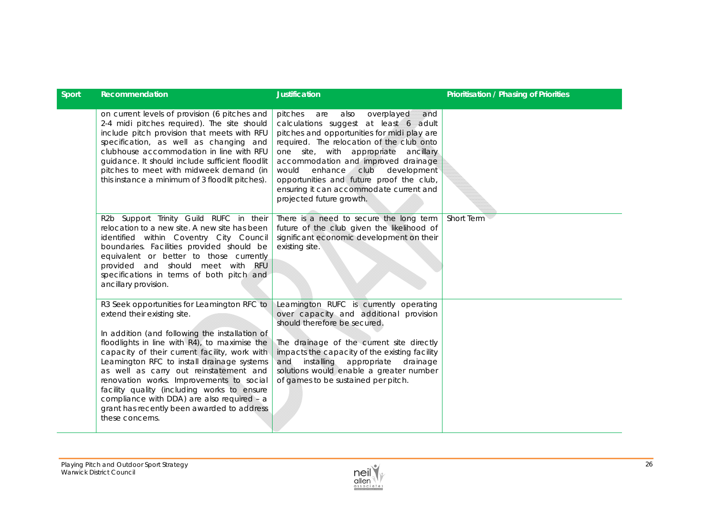| <b>Sport</b> | Recommendation                                                                                                                                                                                                                                                                                                                                                                                                                                                                                                                   | <b>Justification</b>                                                                                                                                                                                                                                                                                                                                                                                                    | Prioritisation / Phasing of Priorities |
|--------------|----------------------------------------------------------------------------------------------------------------------------------------------------------------------------------------------------------------------------------------------------------------------------------------------------------------------------------------------------------------------------------------------------------------------------------------------------------------------------------------------------------------------------------|-------------------------------------------------------------------------------------------------------------------------------------------------------------------------------------------------------------------------------------------------------------------------------------------------------------------------------------------------------------------------------------------------------------------------|----------------------------------------|
|              | on current levels of provision (6 pitches and<br>2-4 midi pitches required). The site should<br>include pitch provision that meets with RFU<br>specification, as well as changing and<br>clubhouse accommodation in line with RFU<br>guidance. It should include sufficient floodlit<br>pitches to meet with midweek demand (in<br>this instance a minimum of 3 floodlit pitches).                                                                                                                                               | pitches are also<br>overplayed<br>and<br>calculations suggest at least 6 adult<br>pitches and opportunities for midi play are<br>required. The relocation of the club onto<br>one site, with appropriate ancillary<br>accommodation and improved drainage<br>enhance<br>club<br>development<br>would<br>opportunities and future proof the club,<br>ensuring it can accommodate current and<br>projected future growth. |                                        |
|              | R2b Support Trinity Guild RUFC in their<br>relocation to a new site. A new site has been<br>identified within Coventry City Council<br>boundaries. Facilities provided should be<br>equivalent or better to those currently<br>provided and should meet with RFU<br>specifications in terms of both pitch and<br>ancillary provision.                                                                                                                                                                                            | There is a need to secure the long term<br>future of the club given the likelihood of<br>significant economic development on their<br>existing site.                                                                                                                                                                                                                                                                    | Short Term                             |
|              | R3 Seek opportunities for Leamington RFC to<br>extend their existing site.<br>In addition (and following the installation of<br>floodlights in line with R4), to maximise the<br>capacity of their current facility, work with<br>Leamington RFC to install drainage systems<br>as well as carry out reinstatement and<br>renovation works. Improvements to social<br>facility quality (including works to ensure<br>compliance with DDA) are also required - a<br>grant has recently been awarded to address<br>these concerns. | Leamington RUFC is currently operating<br>over capacity and additional provision<br>should therefore be secured.<br>The drainage of the current site directly<br>impacts the capacity of the existing facility<br>and installing appropriate drainage<br>solutions would enable a greater number<br>of games to be sustained per pitch.                                                                                 |                                        |

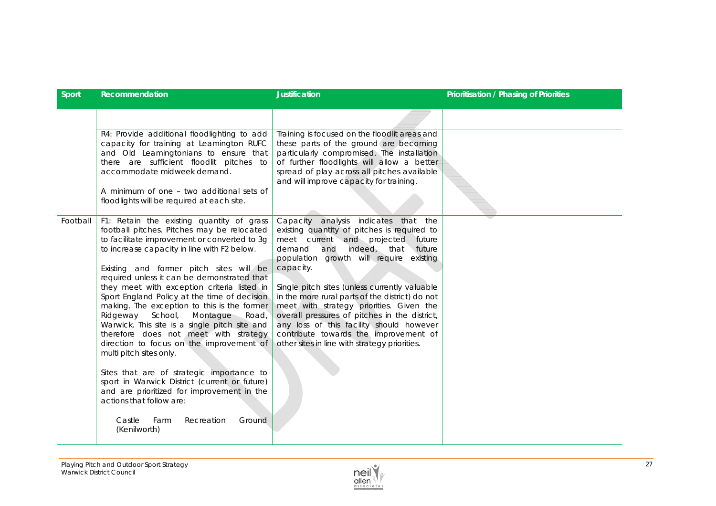| <b>Sport</b> | <b>Recommendation</b>                                                                                                                                                                                                                                                                                                                                                                                                                                                                                                                                                                                                                                                                                                                                                                                                                                                      | <b>Justification</b>                                                                                                                                                                                                                                                                                                                                                                                                                                                                                                                                               | <b>Prioritisation / Phasing of Priorities</b> |
|--------------|----------------------------------------------------------------------------------------------------------------------------------------------------------------------------------------------------------------------------------------------------------------------------------------------------------------------------------------------------------------------------------------------------------------------------------------------------------------------------------------------------------------------------------------------------------------------------------------------------------------------------------------------------------------------------------------------------------------------------------------------------------------------------------------------------------------------------------------------------------------------------|--------------------------------------------------------------------------------------------------------------------------------------------------------------------------------------------------------------------------------------------------------------------------------------------------------------------------------------------------------------------------------------------------------------------------------------------------------------------------------------------------------------------------------------------------------------------|-----------------------------------------------|
|              |                                                                                                                                                                                                                                                                                                                                                                                                                                                                                                                                                                                                                                                                                                                                                                                                                                                                            |                                                                                                                                                                                                                                                                                                                                                                                                                                                                                                                                                                    |                                               |
|              | R4: Provide additional floodlighting to add<br>capacity for training at Leamington RUFC<br>and Old Leamingtonians to ensure that<br>there are sufficient floodlit pitches to<br>accommodate midweek demand.                                                                                                                                                                                                                                                                                                                                                                                                                                                                                                                                                                                                                                                                | Training is focused on the floodlit areas and<br>these parts of the ground are becoming<br>particularly compromised. The installation<br>of further floodlights will allow a better<br>spread of play across all pitches available<br>and will improve capacity for training.                                                                                                                                                                                                                                                                                      |                                               |
|              | A minimum of one – two additional sets of<br>floodlights will be required at each site.                                                                                                                                                                                                                                                                                                                                                                                                                                                                                                                                                                                                                                                                                                                                                                                    |                                                                                                                                                                                                                                                                                                                                                                                                                                                                                                                                                                    |                                               |
| Football     | F1: Retain the existing quantity of grass<br>football pitches. Pitches may be relocated<br>to facilitate improvement or converted to 3g<br>to increase capacity in line with F2 below.<br>Existing and former pitch sites will be<br>required unless it can be demonstrated that<br>they meet with exception criteria listed in<br>Sport England Policy at the time of decision<br>making. The exception to this is the former<br>Ridgeway School,<br>Montague<br>Road,<br>Warwick. This site is a single pitch site and<br>therefore does not meet with strategy<br>direction to focus on the improvement of<br>multi pitch sites only.<br>Sites that are of strategic importance to<br>sport in Warwick District (current or future)<br>and are prioritized for improvement in the<br>actions that follow are:<br>Farm<br>Castle<br>Recreation<br>Ground<br>(Kenilworth) | Capacity analysis indicates that the<br>existing quantity of pitches is required to<br>meet current and projected future<br>indeed, that<br>demand<br>and<br>future<br>population growth will require existing<br>capacity.<br>Single pitch sites (unless currently valuable<br>in the more rural parts of the district) do not<br>meet with strategy priorities. Given the<br>overall pressures of pitches in the district,<br>any loss of this facility should however<br>contribute towards the improvement of<br>other sites in line with strategy priorities. |                                               |

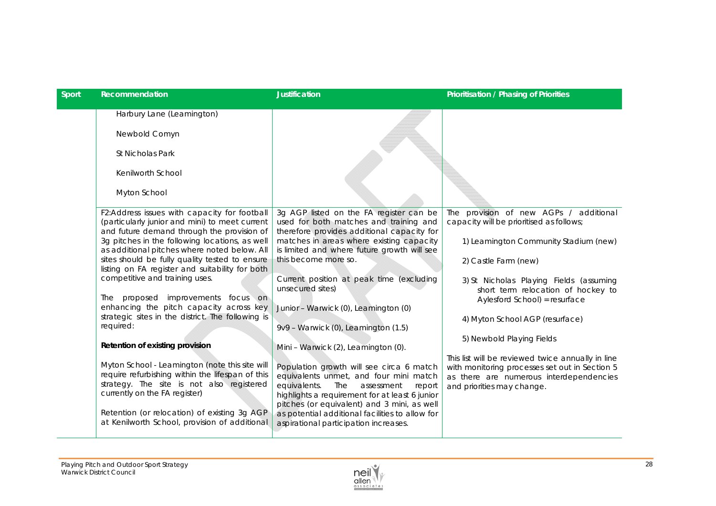| <b>Sport</b> | Recommendation                                                                                                                                                                                                                                                                    | <b>Justification</b>                                                                                                                                                                                                                                                                                                           | Prioritisation / Phasing of Priorities                                                                                                                                       |
|--------------|-----------------------------------------------------------------------------------------------------------------------------------------------------------------------------------------------------------------------------------------------------------------------------------|--------------------------------------------------------------------------------------------------------------------------------------------------------------------------------------------------------------------------------------------------------------------------------------------------------------------------------|------------------------------------------------------------------------------------------------------------------------------------------------------------------------------|
|              | Harbury Lane (Leamington)                                                                                                                                                                                                                                                         |                                                                                                                                                                                                                                                                                                                                |                                                                                                                                                                              |
|              | Newbold Comyn                                                                                                                                                                                                                                                                     |                                                                                                                                                                                                                                                                                                                                |                                                                                                                                                                              |
|              | St Nicholas Park                                                                                                                                                                                                                                                                  |                                                                                                                                                                                                                                                                                                                                |                                                                                                                                                                              |
|              | Kenilworth School                                                                                                                                                                                                                                                                 |                                                                                                                                                                                                                                                                                                                                |                                                                                                                                                                              |
|              | Myton School                                                                                                                                                                                                                                                                      |                                                                                                                                                                                                                                                                                                                                |                                                                                                                                                                              |
|              | F2:Address issues with capacity for football<br>(particularly junior and mini) to meet current<br>and future demand through the provision of                                                                                                                                      | 3g AGP listed on the FA register can be<br>used for both matches and training and<br>therefore provides additional capacity for                                                                                                                                                                                                | The provision of new AGPs / additional<br>capacity will be prioritised as follows;                                                                                           |
|              | 3g pitches in the following locations, as well<br>as additional pitches where noted below. All                                                                                                                                                                                    | matches in areas where existing capacity<br>is limited and where future growth will see                                                                                                                                                                                                                                        | 1) Leamington Community Stadium (new)                                                                                                                                        |
|              | sites should be fully quality tested to ensure<br>listing on FA register and suitability for both                                                                                                                                                                                 | this become more so.                                                                                                                                                                                                                                                                                                           | 2) Castle Farm (new)                                                                                                                                                         |
|              | competitive and training uses.                                                                                                                                                                                                                                                    | Current position at peak time (excluding<br>unsecured sites)                                                                                                                                                                                                                                                                   | 3) St Nicholas Playing Fields (assuming<br>short term relocation of hockey to                                                                                                |
|              | The proposed improvements focus on<br>enhancing the pitch capacity across key                                                                                                                                                                                                     | Junior - Warwick (0), Leamington (0)                                                                                                                                                                                                                                                                                           | Aylesford School) = resurface                                                                                                                                                |
|              | strategic sites in the district. The following is<br>required:                                                                                                                                                                                                                    | 9v9 - Warwick (0), Leamington (1.5)                                                                                                                                                                                                                                                                                            | 4) Myton School AGP (resurface)                                                                                                                                              |
|              | Retention of existing provision                                                                                                                                                                                                                                                   | Mini - Warwick (2), Leamington (0).                                                                                                                                                                                                                                                                                            | 5) Newbold Playing Fields                                                                                                                                                    |
|              | Myton School - Leamington (note this site will<br>require refurbishing within the lifespan of this<br>strategy. The site is not also registered<br>currently on the FA register)<br>Retention (or relocation) of existing 3g AGP<br>at Kenilworth School, provision of additional | Population growth will see circa 6 match<br>equivalents unmet, and four mini match<br>equivalents.<br>The<br>assessment<br>report<br>highlights a requirement for at least 6 junior<br>pitches (or equivalent) and 3 mini, as well<br>as potential additional facilities to allow for<br>aspirational participation increases. | This list will be reviewed twice annually in line<br>with monitoring processes set out in Section 5<br>as there are numerous interdependencies<br>and priorities may change. |
|              |                                                                                                                                                                                                                                                                                   |                                                                                                                                                                                                                                                                                                                                |                                                                                                                                                                              |

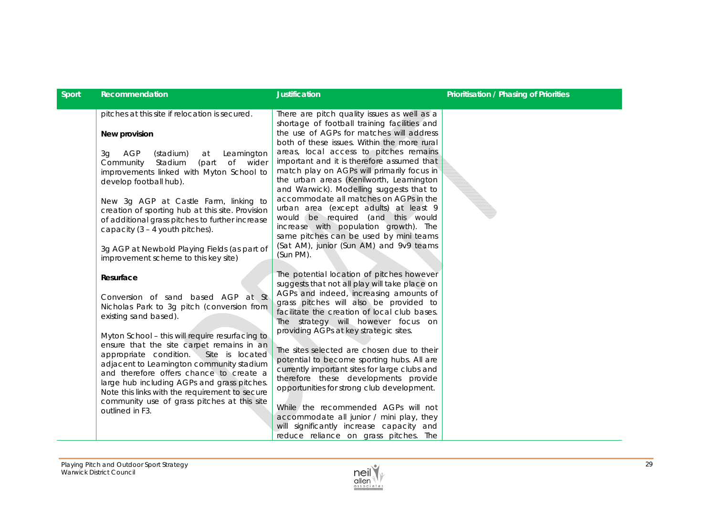| Sport | Recommendation                                                                                                                                                                                                                                                                                                                                                                                                                                                                                                                | <b>Justification</b>                                                                                                                                                                                                                                                                                                                                                                                                                                                                                                                                                                                                                                                                                                      | <b>Prioritisation / Phasing of Priorities</b> |
|-------|-------------------------------------------------------------------------------------------------------------------------------------------------------------------------------------------------------------------------------------------------------------------------------------------------------------------------------------------------------------------------------------------------------------------------------------------------------------------------------------------------------------------------------|---------------------------------------------------------------------------------------------------------------------------------------------------------------------------------------------------------------------------------------------------------------------------------------------------------------------------------------------------------------------------------------------------------------------------------------------------------------------------------------------------------------------------------------------------------------------------------------------------------------------------------------------------------------------------------------------------------------------------|-----------------------------------------------|
|       | pitches at this site if relocation is secured.<br>New provision<br>AGP<br>3q<br>(stadium)<br>Leamington<br>at<br>(part<br>of wider<br>Community<br>Stadium<br>improvements linked with Myton School to<br>develop football hub).<br>New 3g AGP at Castle Farm, linking to<br>creation of sporting hub at this site. Provision<br>of additional grass pitches to further increase<br>capacity $(3 - 4$ youth pitches).                                                                                                         | There are pitch quality issues as well as a<br>shortage of football training facilities and<br>the use of AGPs for matches will address<br>both of these issues. Within the more rural<br>areas, local access to pitches remains<br>important and it is therefore assumed that<br>match play on AGPs will primarily focus in<br>the urban areas (Kenilworth, Leamington<br>and Warwick). Modelling suggests that to<br>accommodate all matches on AGPs in the<br>urban area (except adults) at least 9<br>would be required (and this would<br>increase with population growth). The<br>same pitches can be used by mini teams                                                                                            |                                               |
|       | 3g AGP at Newbold Playing Fields (as part of<br>improvement scheme to this key site)                                                                                                                                                                                                                                                                                                                                                                                                                                          | (Sat AM), junior (Sun AM) and 9v9 teams<br>(Sun PM).                                                                                                                                                                                                                                                                                                                                                                                                                                                                                                                                                                                                                                                                      |                                               |
|       | Resurface<br>Conversion of sand based AGP at St<br>Nicholas Park to 3g pitch (conversion from<br>existing sand based).<br>Myton School - this will require resurfacing to<br>ensure that the site carpet remains in an<br>appropriate condition.<br>Site is located<br>adjacent to Leamington community stadium<br>and therefore offers chance to create a<br>large hub including AGPs and grass pitches.<br>Note this links with the requirement to secure<br>community use of grass pitches at this site<br>outlined in F3. | The potential location of pitches however<br>suggests that not all play will take place on<br>AGPs and indeed, increasing amounts of<br>grass pitches will also be provided to<br>facilitate the creation of local club bases.<br>The strategy will however focus on<br>providing AGPs at key strategic sites.<br>The sites selected are chosen due to their<br>potential to become sporting hubs. All are<br>currently important sites for large clubs and<br>therefore these developments provide<br>opportunities for strong club development.<br>While the recommended AGPs will not<br>accommodate all junior / mini play, they<br>will significantly increase capacity and<br>reduce reliance on grass pitches. The |                                               |

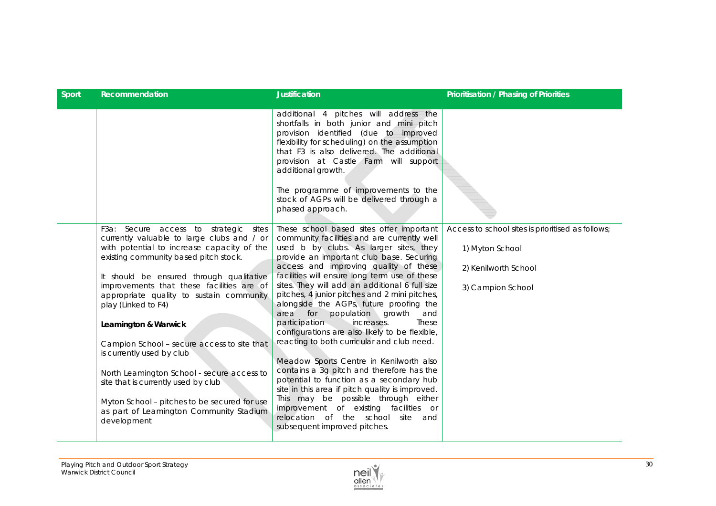| Sport | Recommendation                                                                                                                                                                                                                                                                                                                                                                                                                                                                                                                                                                                                                            | <b>Justification</b>                                                                                                                                                                                                                                                                                                                                                                                                                                                                                                                                                                                                                                                                                                                                                                                                                                                                                                                                    | Prioritisation / Phasing of Priorities                                                                            |
|-------|-------------------------------------------------------------------------------------------------------------------------------------------------------------------------------------------------------------------------------------------------------------------------------------------------------------------------------------------------------------------------------------------------------------------------------------------------------------------------------------------------------------------------------------------------------------------------------------------------------------------------------------------|---------------------------------------------------------------------------------------------------------------------------------------------------------------------------------------------------------------------------------------------------------------------------------------------------------------------------------------------------------------------------------------------------------------------------------------------------------------------------------------------------------------------------------------------------------------------------------------------------------------------------------------------------------------------------------------------------------------------------------------------------------------------------------------------------------------------------------------------------------------------------------------------------------------------------------------------------------|-------------------------------------------------------------------------------------------------------------------|
|       |                                                                                                                                                                                                                                                                                                                                                                                                                                                                                                                                                                                                                                           | additional 4 pitches will address the<br>shortfalls in both junior and mini pitch<br>provision identified (due to improved<br>flexibility for scheduling) on the assumption<br>that F3 is also delivered. The additional<br>provision at Castle Farm will support<br>additional growth.<br>The programme of improvements to the<br>stock of AGPs will be delivered through a<br>phased approach.                                                                                                                                                                                                                                                                                                                                                                                                                                                                                                                                                        |                                                                                                                   |
|       | F3a: Secure access to strategic sites<br>currently valuable to large clubs and / or<br>with potential to increase capacity of the<br>existing community based pitch stock.<br>It should be ensured through qualitative<br>improvements that these facilities are of<br>appropriate quality to sustain community<br>play (Linked to F4)<br>Leamington & Warwick<br>Campion School - secure access to site that<br>is currently used by club<br>North Leamington School - secure access to<br>site that is currently used by club<br>Myton School - pitches to be secured for use<br>as part of Leamington Community Stadium<br>development | These school based sites offer important<br>community facilities and are currently well<br>used b by clubs. As larger sites, they<br>provide an important club base. Securing<br>access and improving quality of these<br>facilities will ensure long term use of these<br>sites. They will add an additional 6 full size<br>pitches, 4 junior pitches and 2 mini pitches,<br>alongside the AGPs, future proofing the<br>for population growth<br>area<br>and<br>participation<br>increases.<br>These<br>configurations are also likely to be flexible,<br>reacting to both curricular and club need.<br>Meadow Sports Centre in Kenilworth also<br>contains a 3g pitch and therefore has the<br>potential to function as a secondary hub<br>site in this area if pitch quality is improved.<br>This may be possible through either<br>improvement of existing facilities or<br>relocation of the school<br>site<br>and<br>subsequent improved pitches. | Access to school sites is prioritised as follows;<br>1) Myton School<br>2) Kenilworth School<br>3) Campion School |

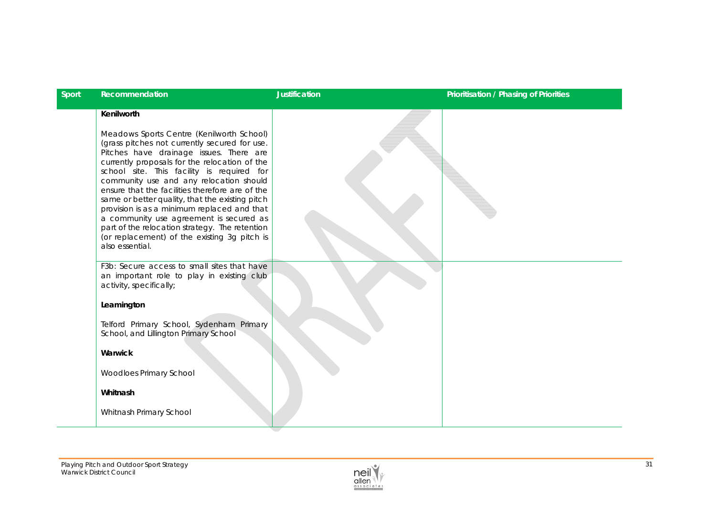| Sport | Recommendation                                                                                                                                                                                                                                                                                                                                                                                                                                                                                                                                                                                                     | <b>Justification</b> | Prioritisation / Phasing of Priorities |
|-------|--------------------------------------------------------------------------------------------------------------------------------------------------------------------------------------------------------------------------------------------------------------------------------------------------------------------------------------------------------------------------------------------------------------------------------------------------------------------------------------------------------------------------------------------------------------------------------------------------------------------|----------------------|----------------------------------------|
|       | Kenilworth<br>Meadows Sports Centre (Kenilworth School)<br>(grass pitches not currently secured for use.<br>Pitches have drainage issues. There are<br>currently proposals for the relocation of the<br>school site. This facility is required for<br>community use and any relocation should<br>ensure that the facilities therefore are of the<br>same or better quality, that the existing pitch<br>provision is as a minimum replaced and that<br>a community use agreement is secured as<br>part of the relocation strategy. The retention<br>(or replacement) of the existing 3g pitch is<br>also essential. |                      |                                        |
|       | F3b: Secure access to small sites that have<br>an important role to play in existing club<br>activity, specifically;<br>Leamington<br>Telford Primary School, Sydenham Primary<br>School, and Lillington Primary School<br>Warwick<br>Woodloes Primary School<br>Whitnash<br>Whitnash Primary School                                                                                                                                                                                                                                                                                                               |                      |                                        |

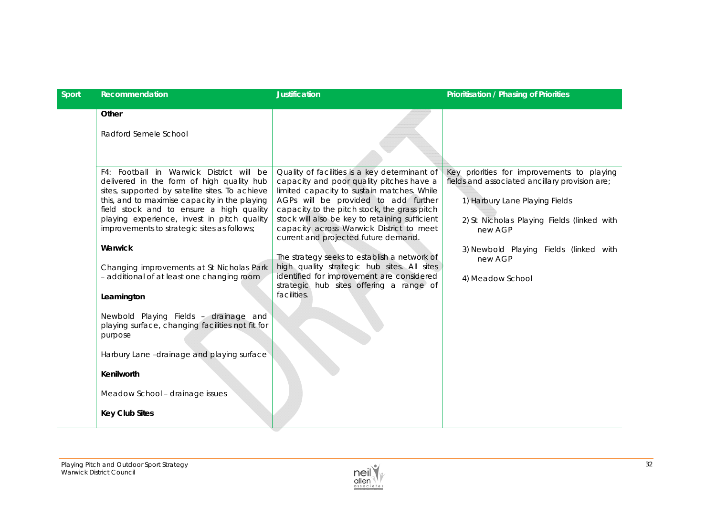| Sport | Recommendation                                                                                                                                                                                                                                                                                                                                                                                                                                                                                                                                                                                                                                                                         | <b>Justification</b>                                                                                                                                                                                                                                                                                                                                                                                                                                                                                                                                                        | <b>Prioritisation / Phasing of Priorities</b>                                                                                                                                                                                                                    |
|-------|----------------------------------------------------------------------------------------------------------------------------------------------------------------------------------------------------------------------------------------------------------------------------------------------------------------------------------------------------------------------------------------------------------------------------------------------------------------------------------------------------------------------------------------------------------------------------------------------------------------------------------------------------------------------------------------|-----------------------------------------------------------------------------------------------------------------------------------------------------------------------------------------------------------------------------------------------------------------------------------------------------------------------------------------------------------------------------------------------------------------------------------------------------------------------------------------------------------------------------------------------------------------------------|------------------------------------------------------------------------------------------------------------------------------------------------------------------------------------------------------------------------------------------------------------------|
|       | Other<br>Radford Semele School                                                                                                                                                                                                                                                                                                                                                                                                                                                                                                                                                                                                                                                         |                                                                                                                                                                                                                                                                                                                                                                                                                                                                                                                                                                             |                                                                                                                                                                                                                                                                  |
|       | F4: Football in Warwick District will be<br>delivered in the form of high quality hub<br>sites, supported by satellite sites. To achieve<br>this, and to maximise capacity in the playing<br>field stock and to ensure a high quality<br>playing experience, invest in pitch quality<br>improvements to strategic sites as follows;<br>Warwick<br>Changing improvements at St Nicholas Park<br>- additional of at least one changing room<br>Leamington<br>Newbold Playing Fields - drainage and<br>playing surface, changing facilities not fit for<br>purpose<br>Harbury Lane-drainage and playing surface<br>Kenilworth<br>Meadow School - drainage issues<br><b>Key Club Sites</b> | Quality of facilities is a key determinant of<br>capacity and poor quality pitches have a<br>limited capacity to sustain matches. While<br>AGPs will be provided to add further<br>capacity to the pitch stock, the grass pitch<br>stock will also be key to retaining sufficient<br>capacity across Warwick District to meet<br>current and projected future demand.<br>The strategy seeks to establish a network of<br>high quality strategic hub sites. All sites<br>identified for improvement are considered<br>strategic hub sites offering a range of<br>facilities. | Key priorities for improvements to playing<br>fields and associated ancillary provision are;<br>1) Harbury Lane Playing Fields<br>2) St Nicholas Playing Fields (linked with<br>new AGP<br>3) Newbold Playing Fields (linked with<br>new AGP<br>4) Meadow School |

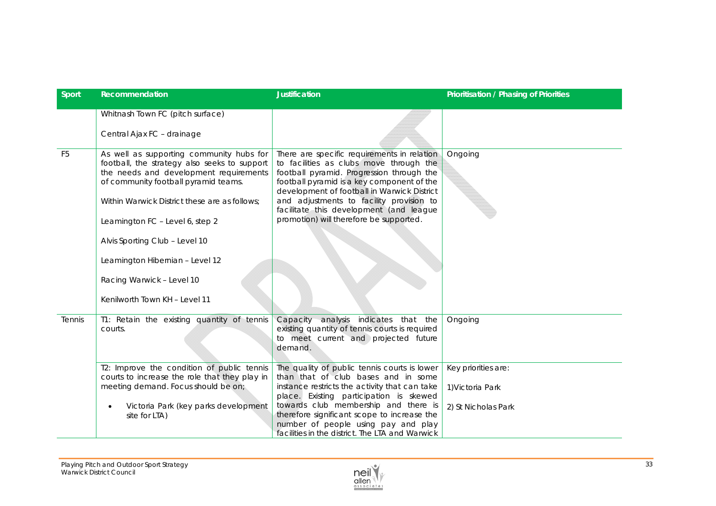| <b>Sport</b>   | Recommendation                                                                                                                                                                                                                                                                                                                                                                                    | <b>Justification</b>                                                                                                                                                                                                                                                                                                                                               | Prioritisation / Phasing of Priorities                         |
|----------------|---------------------------------------------------------------------------------------------------------------------------------------------------------------------------------------------------------------------------------------------------------------------------------------------------------------------------------------------------------------------------------------------------|--------------------------------------------------------------------------------------------------------------------------------------------------------------------------------------------------------------------------------------------------------------------------------------------------------------------------------------------------------------------|----------------------------------------------------------------|
|                | Whitnash Town FC (pitch surface)                                                                                                                                                                                                                                                                                                                                                                  |                                                                                                                                                                                                                                                                                                                                                                    |                                                                |
|                | Central Ajax FC - drainage                                                                                                                                                                                                                                                                                                                                                                        |                                                                                                                                                                                                                                                                                                                                                                    |                                                                |
| F <sub>5</sub> | As well as supporting community hubs for<br>football, the strategy also seeks to support<br>the needs and development requirements<br>of community football pyramid teams.<br>Within Warwick District these are as follows;<br>Leamington FC - Level 6, step 2<br>Alvis Sporting Club - Level 10<br>Leamington Hibernian - Level 12<br>Racing Warwick - Level 10<br>Kenilworth Town KH - Level 11 | There are specific requirements in relation<br>to facilities as clubs move through the<br>football pyramid. Progression through the<br>football pyramid is a key component of the<br>development of football in Warwick District<br>and adjustments to facility provision to<br>facilitate this development (and league<br>promotion) will therefore be supported. | Ongoing                                                        |
| Tennis         | T1: Retain the existing quantity of tennis<br>courts.                                                                                                                                                                                                                                                                                                                                             | indicates that the<br>Capacity analysis<br>existing quantity of tennis courts is required<br>to meet current and projected future<br>demand.                                                                                                                                                                                                                       | Ongoing                                                        |
|                | T2: Improve the condition of public tennis<br>courts to increase the role that they play in<br>meeting demand. Focus should be on;<br>Victoria Park (key parks development<br>site for LTA)                                                                                                                                                                                                       | The quality of public tennis courts is lower<br>than that of club bases and in some<br>instance restricts the activity that can take<br>place. Existing participation is skewed<br>towards club membership and there is<br>therefore significant scope to increase the<br>number of people using pay and play<br>facilities in the district. The LTA and Warwick   | Key priorities are:<br>1) Victoria Park<br>2) St Nicholas Park |

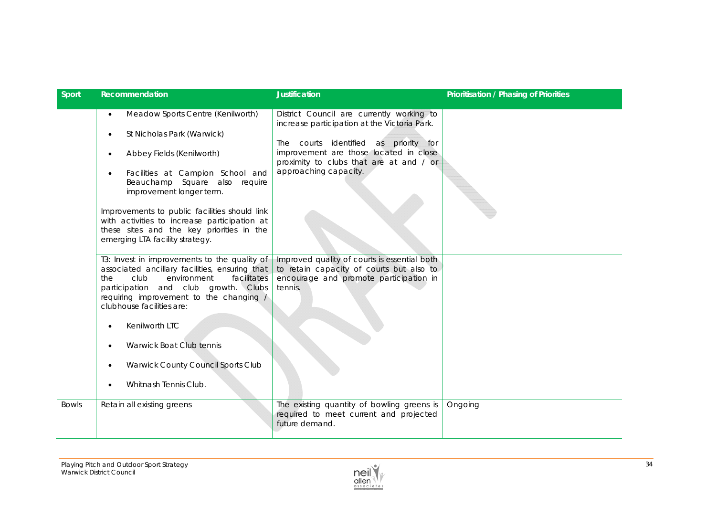| Sport        | Recommendation                                                                                                                                                                                                                                                                                                                                                                                                                     | <b>Justification</b>                                                                                                                                                                                                                             | Prioritisation / Phasing of Priorities |
|--------------|------------------------------------------------------------------------------------------------------------------------------------------------------------------------------------------------------------------------------------------------------------------------------------------------------------------------------------------------------------------------------------------------------------------------------------|--------------------------------------------------------------------------------------------------------------------------------------------------------------------------------------------------------------------------------------------------|----------------------------------------|
|              | Meadow Sports Centre (Kenilworth)<br>$\bullet$<br>St Nicholas Park (Warwick)<br>$\bullet$<br>Abbey Fields (Kenilworth)<br>$\bullet$<br>Facilities at Campion School and<br>$\bullet$<br>Beauchamp Square also require<br>improvement longer term.<br>Improvements to public facilities should link<br>with activities to increase participation at<br>these sites and the key priorities in the<br>emerging LTA facility strategy. | District Council are currently working to<br>increase participation at the Victoria Park.<br>The courts identified as priority for<br>improvement are those located in close<br>proximity to clubs that are at and / or<br>approaching capacity. |                                        |
|              | T3: Invest in improvements to the quality of<br>associated ancillary facilities, ensuring that<br>club<br>the<br>environment<br>facilitates<br>participation and club growth. Clubs<br>requiring improvement to the changing /<br>clubhouse facilities are:<br>Kenilworth LTC                                                                                                                                                      | Improved quality of courts is essential both<br>to retain capacity of courts but also to<br>encourage and promote participation in<br>tennis.                                                                                                    |                                        |
|              | Warwick Boat Club tennis<br>$\bullet$<br>Warwick County Council Sports Club<br>$\bullet$<br>Whitnash Tennis Club.                                                                                                                                                                                                                                                                                                                  |                                                                                                                                                                                                                                                  |                                        |
| <b>Bowls</b> | Retain all existing greens                                                                                                                                                                                                                                                                                                                                                                                                         | The existing quantity of bowling greens is<br>required to meet current and projected<br>future demand.                                                                                                                                           | Ongoing                                |

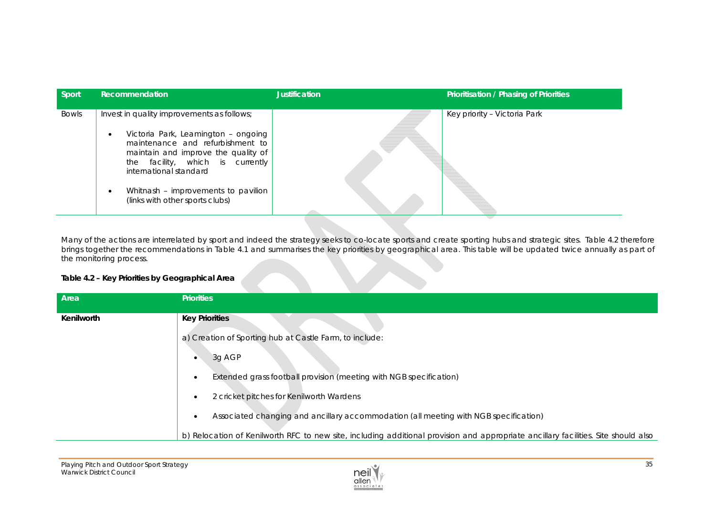| Sport        | Recommendation                                                                                                                                                                                                                                                                                                    | <b>Justification</b> | Prioritisation / Phasing of Priorities |
|--------------|-------------------------------------------------------------------------------------------------------------------------------------------------------------------------------------------------------------------------------------------------------------------------------------------------------------------|----------------------|----------------------------------------|
| <b>Bowls</b> | Invest in quality improvements as follows;<br>Victoria Park, Leamington - ongoing<br>$\bullet$<br>maintenance and refurbishment to<br>maintain and improve the quality of<br>the facility, which is currently<br>international standard<br>Whitnash - improvements to pavilion<br>(links with other sports clubs) |                      | Key priority - Victoria Park           |

Many of the actions are interrelated by sport and indeed the strategy seeks to co-locate sports and create sporting hubs and strategic sites. Table 4.2 therefore brings together the recommendations in Table 4.1 and summarises the key priorities by geographical area. This table will be updated twice annually as part of the monitoring process.

## **Table 4.2 – Key Priorities by Geographical Area**

| Area       | <b>Priorities</b>                                                                                                                  |
|------------|------------------------------------------------------------------------------------------------------------------------------------|
| Kenilworth | <b>Key Priorities</b>                                                                                                              |
|            | a) Creation of Sporting hub at Castle Farm, to include:                                                                            |
|            | 3g AGP                                                                                                                             |
|            | Extended grass football provision (meeting with NGB specification)                                                                 |
|            | 2 cricket pitches for Kenilworth Wardens                                                                                           |
|            | Associated changing and ancillary accommodation (all meeting with NGB specification)<br>$\bullet$                                  |
|            | b) Relocation of Kenilworth RFC to new site, including additional provision and appropriate ancillary facilities. Site should also |

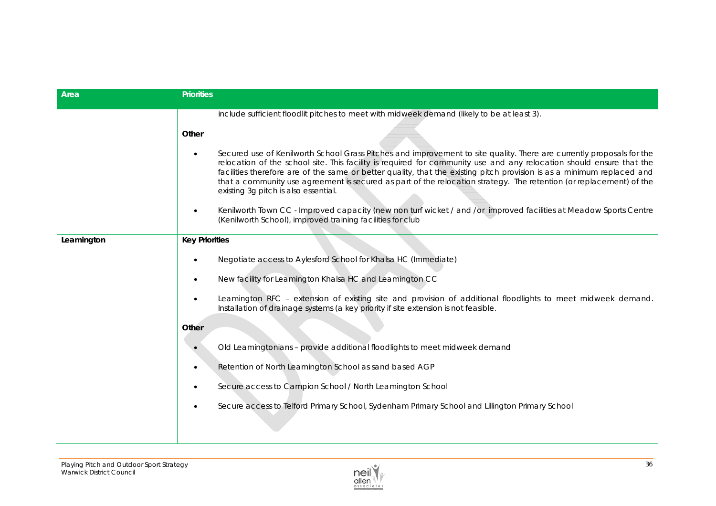| Area       | <b>Priorities</b>                                                                                                                                                                                                                                                                                                                                                                                                                                                                                                                                   |
|------------|-----------------------------------------------------------------------------------------------------------------------------------------------------------------------------------------------------------------------------------------------------------------------------------------------------------------------------------------------------------------------------------------------------------------------------------------------------------------------------------------------------------------------------------------------------|
|            | include sufficient floodlit pitches to meet with midweek demand (likely to be at least 3).                                                                                                                                                                                                                                                                                                                                                                                                                                                          |
|            | Other                                                                                                                                                                                                                                                                                                                                                                                                                                                                                                                                               |
|            | Secured use of Kenilworth School Grass Pitches and improvement to site quality. There are currently proposals for the<br>$\bullet$<br>relocation of the school site. This facility is required for community use and any relocation should ensure that the<br>facilities therefore are of the same or better quality, that the existing pitch provision is as a minimum replaced and<br>that a community use agreement is secured as part of the relocation strategy. The retention (or replacement) of the<br>existing 3g pitch is also essential. |
|            | Kenilworth Town CC - Improved capacity (new non turf wicket / and /or improved facilities at Meadow Sports Centre<br>$\bullet$<br>(Kenilworth School), improved training facilities for club                                                                                                                                                                                                                                                                                                                                                        |
| Leamington | <b>Key Priorities</b>                                                                                                                                                                                                                                                                                                                                                                                                                                                                                                                               |
|            | Negotiate access to Aylesford School for Khalsa HC (Immediate)<br>$\bullet$                                                                                                                                                                                                                                                                                                                                                                                                                                                                         |
|            | New facility for Leamington Khalsa HC and Leamington CC<br>$\bullet$                                                                                                                                                                                                                                                                                                                                                                                                                                                                                |
|            | Leamington RFC - extension of existing site and provision of additional floodlights to meet midweek demand.<br>$\bullet$<br>Installation of drainage systems (a key priority if site extension is not feasible.                                                                                                                                                                                                                                                                                                                                     |
|            | Other                                                                                                                                                                                                                                                                                                                                                                                                                                                                                                                                               |
|            | Old Leamingtonians - provide additional floodlights to meet midweek demand                                                                                                                                                                                                                                                                                                                                                                                                                                                                          |
|            | Retention of North Leamington School as sand based AGP<br>$\bullet$                                                                                                                                                                                                                                                                                                                                                                                                                                                                                 |
|            | Secure access to Campion School / North Leamington School<br>$\bullet$                                                                                                                                                                                                                                                                                                                                                                                                                                                                              |
|            | Secure access to Telford Primary School, Sydenham Primary School and Lillington Primary School<br>$\bullet$                                                                                                                                                                                                                                                                                                                                                                                                                                         |
|            |                                                                                                                                                                                                                                                                                                                                                                                                                                                                                                                                                     |

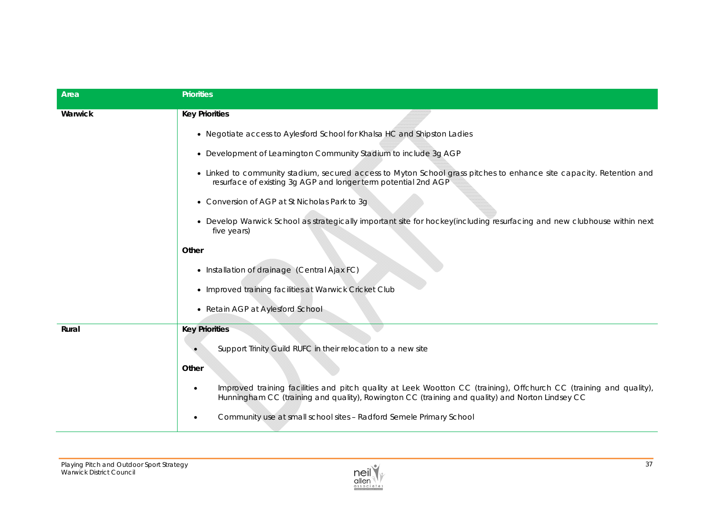| Area    | <b>Priorities</b>                                                                                                                                                                                                          |
|---------|----------------------------------------------------------------------------------------------------------------------------------------------------------------------------------------------------------------------------|
| Warwick | <b>Key Priorities</b>                                                                                                                                                                                                      |
|         | • Negotiate access to Aylesford School for Khalsa HC and Shipston Ladies                                                                                                                                                   |
|         | • Development of Leamington Community Stadium to include 3g AGP                                                                                                                                                            |
|         | • Linked to community stadium, secured access to Myton School grass pitches to enhance site capacity. Retention and<br>resurface of existing 3g AGP and longer term potential 2nd AGP                                      |
|         | • Conversion of AGP at St Nicholas Park to 3g                                                                                                                                                                              |
|         | • Develop Warwick School as strategically important site for hockey(including resurfacing and new clubhouse within next<br>five years)                                                                                     |
|         | Other                                                                                                                                                                                                                      |
|         | • Installation of drainage (Central Ajax FC)                                                                                                                                                                               |
|         | • Improved training facilities at Warwick Cricket Club                                                                                                                                                                     |
|         | • Retain AGP at Aylesford School                                                                                                                                                                                           |
| Rural   | <b>Key Priorities</b>                                                                                                                                                                                                      |
|         | Support Trinity Guild RUFC in their relocation to a new site                                                                                                                                                               |
|         | Other                                                                                                                                                                                                                      |
|         | Improved training facilities and pitch quality at Leek Wootton CC (training), Offchurch CC (training and quality),<br>٠<br>Hunningham CC (training and quality), Rowington CC (training and quality) and Norton Lindsey CC |
|         | Community use at small school sites - Radford Semele Primary School<br>٠                                                                                                                                                   |

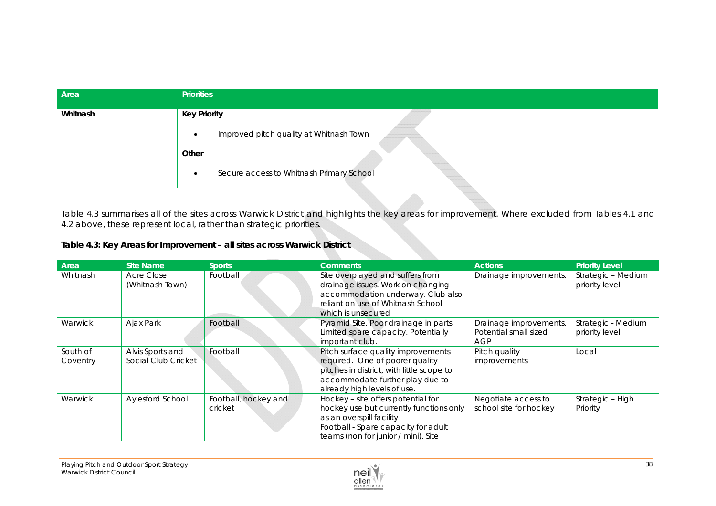| Area     | <b>Priorities</b>                                     |
|----------|-------------------------------------------------------|
| Whitnash | <b>Key Priority</b>                                   |
|          | Improved pitch quality at Whitnash Town<br>$\bullet$  |
|          | Other                                                 |
|          | Secure access to Whitnash Primary School<br>$\bullet$ |

Table 4.3 summarises all of the sites across Warwick District and highlights the key areas for improvement. Where excluded from Tables 4.1 and 4.2 above, these represent local, rather than strategic priorities.

## **Table 4.3: Key Areas for Improvement – all sites across Warwick District**

| Area                 | Site Name                               | <b>Sports</b>                   | <b>Comments</b>                                                                                                                                                                         | <b>Actions</b>                                         | <b>Priority Level</b>                |
|----------------------|-----------------------------------------|---------------------------------|-----------------------------------------------------------------------------------------------------------------------------------------------------------------------------------------|--------------------------------------------------------|--------------------------------------|
| Whitnash             | Acre Close<br>(Whitnash Town)           | Football                        | Site overplayed and suffers from<br>drainage issues. Work on changing<br>accommodation underway. Club also<br>reliant on use of Whitnash School<br>which is unsecured                   | Drainage improvements.                                 | Strategic - Medium<br>priority level |
| Warwick              | Ajax Park                               | Football                        | Pyramid Site. Poor drainage in parts.<br>Limited spare capacity. Potentially<br>important club.                                                                                         | Drainage improvements.<br>Potential small sized<br>AGP | Strategic - Medium<br>priority level |
| South of<br>Coventry | Alvis Sports and<br>Social Club Cricket | Football                        | Pitch surface quality improvements<br>required. One of poorer quality<br>pitches in district, with little scope to<br>accommodate further play due to<br>already high levels of use.    | Pitch quality<br>improvements                          | Local                                |
| Warwick              | Aylesford School                        | Football, hockey and<br>cricket | Hockey – site offers potential for<br>hockey use but currently functions only<br>as an overspill facility<br>Football - Spare capacity for adult<br>teams (non for junior / mini). Site | Negotiate access to<br>school site for hockey          | Strategic - High<br>Priority         |

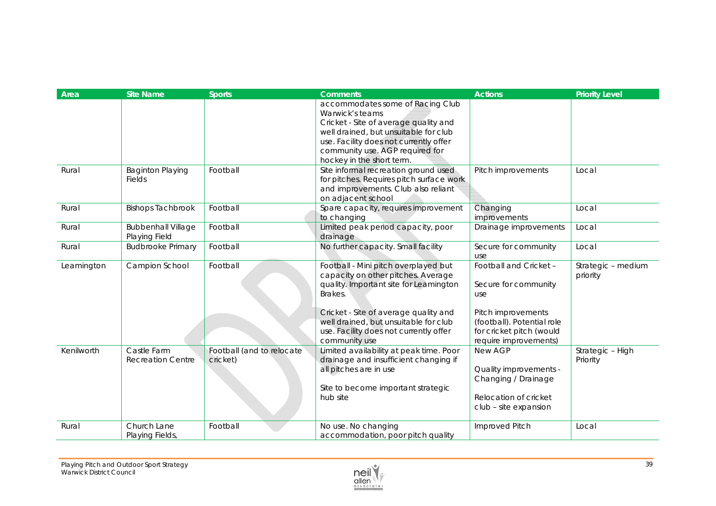| Area       | <b>Site Name</b>          | <b>Sports</b>             | <b>Comments</b>                                                              | <b>Actions</b>              | <b>Priority Level</b> |
|------------|---------------------------|---------------------------|------------------------------------------------------------------------------|-----------------------------|-----------------------|
|            |                           |                           | accommodates some of Racing Club                                             |                             |                       |
|            |                           |                           | Warwick's teams                                                              |                             |                       |
|            |                           |                           | Cricket - Site of average quality and                                        |                             |                       |
|            |                           |                           | well drained, but unsuitable for club                                        |                             |                       |
|            |                           |                           | use. Facility does not currently offer                                       |                             |                       |
|            |                           |                           | community use. AGP required for                                              |                             |                       |
|            |                           |                           | hockey in the short term.                                                    |                             |                       |
| Rural      | <b>Baginton Playing</b>   | Football                  | Site informal recreation ground used                                         | Pitch improvements          | Local                 |
|            | <b>Fields</b>             |                           | for pitches. Requires pitch surface work                                     |                             |                       |
|            |                           |                           | and improvements. Club also reliant                                          |                             |                       |
|            |                           |                           | on adjacent school                                                           |                             |                       |
| Rural      | <b>Bishops Tachbrook</b>  | Football                  | Spare capacity, requires improvement                                         | Changing                    | Local                 |
|            |                           |                           | to changing                                                                  | improvements                |                       |
| Rural      | <b>Bubbenhall Village</b> | Football                  | Limited peak period capacity, poor                                           | Drainage improvements       | Local                 |
|            | Playing Field             |                           | drainage                                                                     |                             |                       |
| Rural      | <b>Budbrooke Primary</b>  | Football                  | No further capacity. Small facility                                          | Secure for community        | Local                 |
|            |                           |                           |                                                                              | use                         |                       |
| Leamington | Campion School            | Football                  | Football - Mini pitch overplayed but                                         | Football and Cricket -      | Strategic - medium    |
|            |                           |                           | capacity on other pitches. Average<br>quality. Important site for Leamington |                             | priority              |
|            |                           |                           | Brakes.                                                                      | Secure for community<br>use |                       |
|            |                           |                           |                                                                              |                             |                       |
|            |                           |                           | Cricket - Site of average quality and                                        | Pitch improvements          |                       |
|            |                           |                           | well drained, but unsuitable for club                                        | (football). Potential role  |                       |
|            |                           |                           | use. Facility does not currently offer                                       | for cricket pitch (would    |                       |
|            |                           |                           | community use                                                                | require improvements)       |                       |
| Kenilworth | Castle Farm               | Football (and to relocate | Limited availability at peak time. Poor                                      | New AGP                     | Strategic - High      |
|            | <b>Recreation Centre</b>  | cricket)                  | drainage and insufficient changing if                                        |                             | Priority              |
|            |                           |                           | all pitches are in use                                                       | Quality improvements -      |                       |
|            |                           |                           |                                                                              | Changing / Drainage         |                       |
|            |                           |                           | Site to become important strategic                                           |                             |                       |
|            |                           |                           | hub site                                                                     | Relocation of cricket       |                       |
|            |                           |                           |                                                                              | club - site expansion       |                       |
|            |                           |                           |                                                                              |                             |                       |
| Rural      | Church Lane               | Football                  | No use. No changing                                                          | Improved Pitch              | Local                 |
|            | Playing Fields,           |                           | accommodation, poor pitch quality                                            |                             |                       |

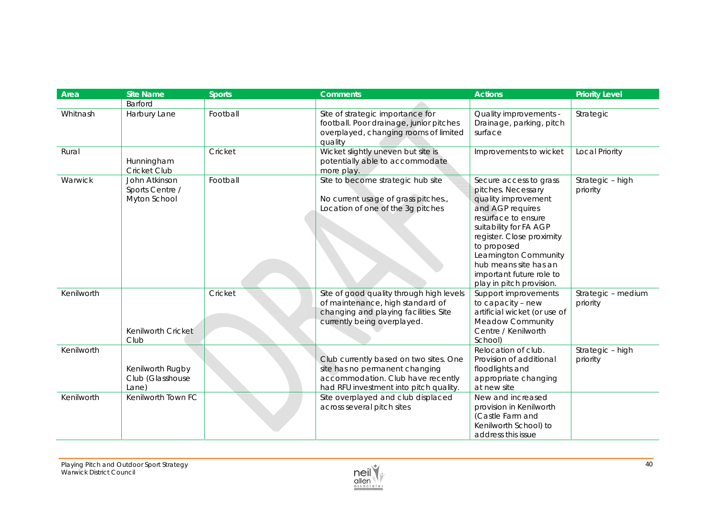| Area       | <b>Site Name</b>           | <b>Sports</b> | <b>Comments</b>                               | <b>Actions</b>                 | <b>Priority Level</b> |
|------------|----------------------------|---------------|-----------------------------------------------|--------------------------------|-----------------------|
|            | Barford                    |               |                                               |                                |                       |
| Whitnash   | Harbury Lane               | Football      | Site of strategic importance for              | Quality improvements -         | Strategic             |
|            |                            |               | football. Poor drainage, junior pitches       | Drainage, parking, pitch       |                       |
|            |                            |               | overplayed, changing rooms of limited         | surface                        |                       |
|            |                            |               | quality                                       |                                |                       |
| Rural      |                            | Cricket       | Wicket slightly uneven but site is            | Improvements to wicket         | <b>Local Priority</b> |
|            | Hunningham<br>Cricket Club |               | potentially able to accommodate<br>more play. |                                |                       |
| Warwick    | John Atkinson              | Football      | Site to become strategic hub site             | Secure access to grass         | Strategic - high      |
|            | Sports Centre /            |               |                                               | pitches. Necessary             | priority              |
|            | Myton School               |               | No current usage of grass pitches.,           | quality improvement            |                       |
|            |                            |               | Location of one of the 3g pitches             | and AGP requires               |                       |
|            |                            |               |                                               | resurface to ensure            |                       |
|            |                            |               |                                               | suitability for FA AGP         |                       |
|            |                            |               |                                               | register. Close proximity      |                       |
|            |                            |               |                                               | to proposed                    |                       |
|            |                            |               |                                               | Leamington Community           |                       |
|            |                            |               |                                               | hub means site has an          |                       |
|            |                            |               |                                               | important future role to       |                       |
|            |                            |               |                                               | play in pitch provision.       |                       |
| Kenilworth |                            | Cricket       | Site of good quality through high levels      | Support improvements           | Strategic - medium    |
|            |                            |               | of maintenance, high standard of              | to capacity - new              | priority              |
|            |                            |               | changing and playing facilities. Site         | artificial wicket (or use of   |                       |
|            |                            |               | currently being overplayed.                   | <b>Meadow Community</b>        |                       |
|            | Kenilworth Cricket<br>Club |               |                                               | Centre / Kenilworth<br>School) |                       |
| Kenilworth |                            |               |                                               | Relocation of club.            | Strategic - high      |
|            |                            |               | Club currently based on two sites. One        | Provision of additional        | priority              |
|            | Kenilworth Rugby           |               | site has no permanent changing                | floodlights and                |                       |
|            | Club (Glasshouse           |               | accommodation. Club have recently             | appropriate changing           |                       |
|            | Lane)                      |               | had RFU investment into pitch quality.        | at new site                    |                       |
| Kenilworth | Kenilworth Town FC         |               | Site overplayed and club displaced            | New and increased              |                       |
|            |                            |               | across several pitch sites                    | provision in Kenilworth        |                       |
|            |                            |               |                                               | (Castle Farm and               |                       |
|            |                            |               |                                               | Kenilworth School) to          |                       |
|            |                            |               |                                               | address this issue             |                       |

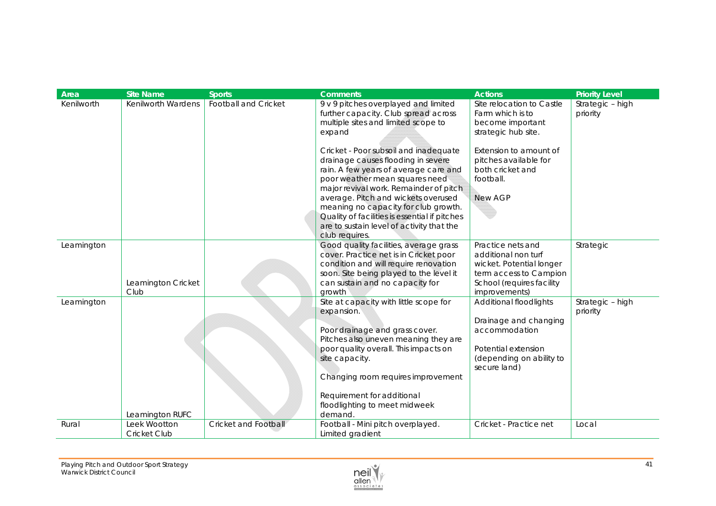| Area       | <b>Site Name</b>                    | <b>Sports</b>        | <b>Comments</b>                                                                                                                                                                                                                                                                                                                                                               | <b>Actions</b>                                                                                                                               | <b>Priority Level</b>        |
|------------|-------------------------------------|----------------------|-------------------------------------------------------------------------------------------------------------------------------------------------------------------------------------------------------------------------------------------------------------------------------------------------------------------------------------------------------------------------------|----------------------------------------------------------------------------------------------------------------------------------------------|------------------------------|
| Kenilworth | Kenilworth Wardens                  | Football and Cricket | 9 v 9 pitches overplayed and limited<br>further capacity. Club spread across<br>multiple sites and limited scope to<br>expand                                                                                                                                                                                                                                                 | Site relocation to Castle<br>Farm which is to<br>become important<br>strategic hub site.                                                     | Strategic - high<br>priority |
|            |                                     |                      | Cricket - Poor subsoil and inadequate<br>drainage causes flooding in severe<br>rain. A few years of average care and<br>poor weather mean squares need<br>major revival work. Remainder of pitch<br>average. Pitch and wickets overused<br>meaning no capacity for club growth.<br>Quality of facilities is essential if pitches<br>are to sustain level of activity that the | Extension to amount of<br>pitches available for<br>both cricket and<br>football.<br>New AGP                                                  |                              |
|            |                                     |                      | club requires.                                                                                                                                                                                                                                                                                                                                                                |                                                                                                                                              |                              |
| Leamington | Leamington Cricket<br>Club          |                      | Good quality facilities, average grass<br>cover. Practice net is in Cricket poor<br>condition and will require renovation<br>soon. Site being played to the level it<br>can sustain and no capacity for<br>growth                                                                                                                                                             | Practice nets and<br>additional non turf<br>wicket. Potential longer<br>term access to Campion<br>School (requires facility<br>improvements) | Strategic                    |
| Leamington | Leamington RUFC                     |                      | Site at capacity with little scope for<br>expansion.<br>Poor drainage and grass cover.<br>Pitches also uneven meaning they are<br>poor quality overall. This impacts on<br>site capacity.<br>Changing room requires improvement<br>Requirement for additional<br>floodlighting to meet midweek<br>demand.                                                                     | Additional floodlights<br>Drainage and changing<br>accommodation<br>Potential extension<br>(depending on ability to<br>secure land)          | Strategic - high<br>priority |
| Rural      | Leek Wootton<br><b>Cricket Club</b> | Cricket and Football | Football - Mini pitch overplayed.<br>Limited gradient                                                                                                                                                                                                                                                                                                                         | Cricket - Practice net                                                                                                                       | Local                        |

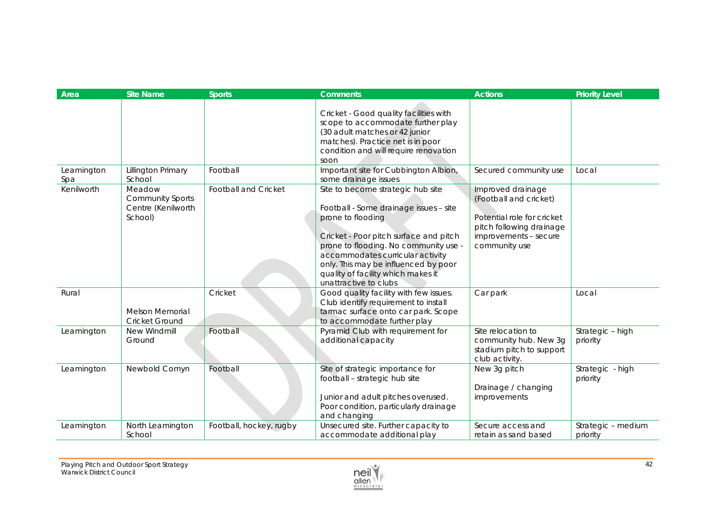| Area              | <b>Site Name</b>                                                   | <b>Sports</b>               | <b>Comments</b>                                                                                                                                                                                                                                                                                                                | <b>Actions</b>                                                                                                                                  | <b>Priority Level</b>          |
|-------------------|--------------------------------------------------------------------|-----------------------------|--------------------------------------------------------------------------------------------------------------------------------------------------------------------------------------------------------------------------------------------------------------------------------------------------------------------------------|-------------------------------------------------------------------------------------------------------------------------------------------------|--------------------------------|
|                   |                                                                    |                             | Cricket - Good quality facilities with<br>scope to accommodate further play<br>(30 adult matches or 42 junior<br>matches). Practice net is in poor<br>condition and will require renovation<br>soon                                                                                                                            |                                                                                                                                                 |                                |
| Leamington<br>Spa | Lillington Primary<br>School                                       | Football                    | Important site for Cubbington Albion,<br>some drainage issues                                                                                                                                                                                                                                                                  | Secured community use                                                                                                                           | Local                          |
| Kenilworth        | Meadow<br><b>Community Sports</b><br>Centre (Kenilworth<br>School) | <b>Football and Cricket</b> | Site to become strategic hub site<br>Football - Some drainage issues - site<br>prone to flooding<br>Cricket - Poor pitch surface and pitch<br>prone to flooding. No community use -<br>accommodates curricular activity<br>only. This may be influenced by poor<br>quality of facility which makes it<br>unattractive to clubs | Improved drainage<br>(Football and cricket)<br>Potential role for cricket<br>pitch following drainage<br>improvements - secure<br>community use |                                |
| Rural             | <b>Melson Memorial</b><br>Cricket Ground                           | Cricket                     | Good quality facility with few issues.<br>Club identify requirement to install<br>tarmac surface onto car park. Scope<br>to accommodate further play                                                                                                                                                                           | Car park                                                                                                                                        | Local                          |
| Leamington        | New Windmill<br>Ground                                             | Football                    | Pyramid Club with requirement for<br>additional capacity                                                                                                                                                                                                                                                                       | Site relocation to<br>community hub. New 3g<br>stadium pitch to support<br>club activity.                                                       | Strategic - high<br>priority   |
| Leamington        | Newbold Comyn                                                      | Football                    | Site of strategic importance for<br>football - strategic hub site<br>Junior and adult pitches overused.<br>Poor condition, particularly drainage<br>and changing                                                                                                                                                               | New 3g pitch<br>Drainage / changing<br>improvements                                                                                             | Strategic - high<br>priority   |
| Leamington        | North Leamington<br>School                                         | Football, hockey, rugby     | Unsecured site. Further capacity to<br>accommodate additional play                                                                                                                                                                                                                                                             | Secure access and<br>retain as sand based                                                                                                       | Strategic - medium<br>priority |

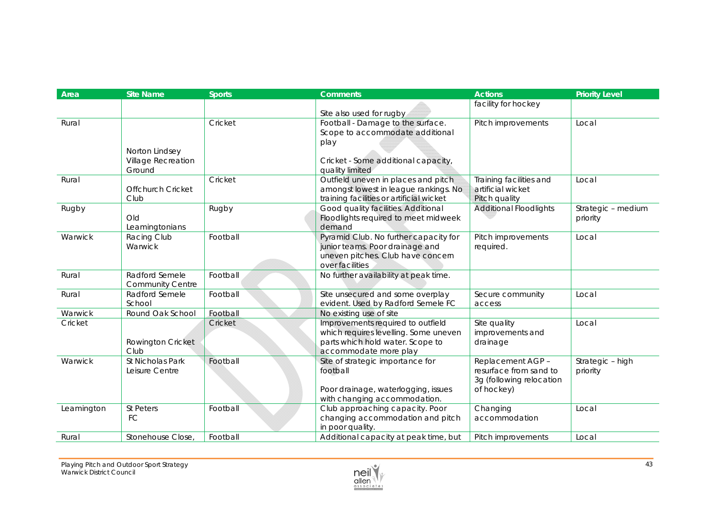| Area       | <b>Site Name</b>         | <b>Sports</b> | <b>Comments</b>                                                              | <b>Actions</b>                               | <b>Priority Level</b>          |
|------------|--------------------------|---------------|------------------------------------------------------------------------------|----------------------------------------------|--------------------------------|
|            |                          |               |                                                                              | facility for hockey                          |                                |
|            |                          |               | Site also used for rugby                                                     |                                              |                                |
| Rural      |                          | Cricket       | Football - Damage to the surface.                                            | Pitch improvements                           | Local                          |
|            |                          |               | Scope to accommodate additional                                              |                                              |                                |
|            |                          |               | play                                                                         |                                              |                                |
|            | Norton Lindsey           |               |                                                                              |                                              |                                |
|            | Village Recreation       |               | Cricket - Some additional capacity,                                          |                                              |                                |
|            | Ground                   |               | quality limited                                                              |                                              |                                |
| Rural      | <b>Offchurch Cricket</b> | Cricket       | Outfield uneven in places and pitch<br>amongst lowest in league rankings. No | Training facilities and<br>artificial wicket | Local                          |
|            | Club                     |               | training facilities or artificial wicket                                     | Pitch quality                                |                                |
|            |                          |               | Good quality facilities. Additional                                          | <b>Additional Floodlights</b>                |                                |
| Rugby      | Old                      | Rugby         | Floodlights required to meet midweek                                         |                                              | Strategic - medium<br>priority |
|            | Leamingtonians           |               | demand                                                                       |                                              |                                |
| Warwick    | Racing Club              | Football      | Pyramid Club. No further capacity for                                        | Pitch improvements                           | Local                          |
|            | Warwick                  |               | junior teams. Poor drainage and                                              | required.                                    |                                |
|            |                          |               | uneven pitches. Club have concern                                            |                                              |                                |
|            |                          |               | over facilities                                                              |                                              |                                |
| Rural      | Radford Semele           | Football      | No further availability at peak time.                                        |                                              |                                |
|            | <b>Community Centre</b>  |               |                                                                              |                                              |                                |
| Rural      | Radford Semele           | Football      | Site unsecured and some overplay                                             | Secure community                             | Local                          |
|            | School                   |               | evident. Used by Radford Semele FC                                           | access                                       |                                |
| Warwick    | Round Oak School         | Football      | No existing use of site                                                      |                                              |                                |
| Cricket    |                          | Cricket       | Improvements required to outfield                                            | Site quality                                 | Local                          |
|            |                          |               | which requires levelling. Some uneven                                        | improvements and                             |                                |
|            | Rowington Cricket        |               | parts which hold water. Scope to                                             | drainage                                     |                                |
|            | Club                     |               | accommodate more play                                                        |                                              |                                |
| Warwick    | St Nicholas Park         | Football      | Site of strategic importance for                                             | Replacement AGP-                             | Strategic - high               |
|            | Leisure Centre           |               | football                                                                     | resurface from sand to                       | priority                       |
|            |                          |               |                                                                              | 3g (following relocation                     |                                |
|            |                          |               | Poor drainage, waterlogging, issues                                          | of hockey)                                   |                                |
|            |                          |               | with changing accommodation.                                                 |                                              |                                |
| Leamington | St Peters                | Football      | Club approaching capacity. Poor                                              | Changing                                     | Local                          |
|            | FC                       |               | changing accommodation and pitch                                             | accommodation                                |                                |
|            |                          |               | in poor quality.                                                             |                                              |                                |
| Rural      | Stonehouse Close,        | Football      | Additional capacity at peak time, but                                        | Pitch improvements                           | Local                          |

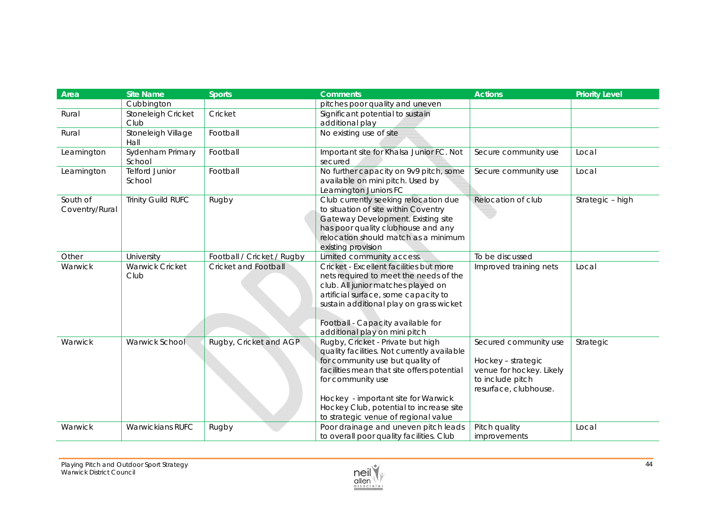| Area                       | <b>Site Name</b>                | <b>Sports</b>              | <b>Comments</b>                                                                                                                                                                                                                                                                                                   | <b>Actions</b>                                                                                                       | <b>Priority Level</b> |
|----------------------------|---------------------------------|----------------------------|-------------------------------------------------------------------------------------------------------------------------------------------------------------------------------------------------------------------------------------------------------------------------------------------------------------------|----------------------------------------------------------------------------------------------------------------------|-----------------------|
|                            | Cubbington                      |                            | pitches poor quality and uneven                                                                                                                                                                                                                                                                                   |                                                                                                                      |                       |
| Rural                      | Stoneleigh Cricket              | Cricket                    | Significant potential to sustain                                                                                                                                                                                                                                                                                  |                                                                                                                      |                       |
|                            | Club                            |                            | additional play                                                                                                                                                                                                                                                                                                   |                                                                                                                      |                       |
| Rural                      | Stoneleigh Village<br>Hall      | Football                   | No existing use of site                                                                                                                                                                                                                                                                                           |                                                                                                                      |                       |
| Leamington                 | Sydenham Primary<br>School      | Football                   | Important site for Khalsa Junior FC. Not<br>secured                                                                                                                                                                                                                                                               | Secure community use                                                                                                 | Local                 |
| Leamington                 | <b>Telford Junior</b><br>School | Football                   | No further capacity on 9v9 pitch, some<br>available on mini pitch. Used by<br>Leamington Juniors FC                                                                                                                                                                                                               | Secure community use                                                                                                 | Local                 |
| South of<br>Coventry/Rural | <b>Trinity Guild RUFC</b>       | Rugby                      | Club currently seeking relocation due<br>to situation of site within Coventry<br>Gateway Development. Existing site<br>has poor quality clubhouse and any<br>relocation should match as a minimum<br>existing provision                                                                                           | Relocation of club                                                                                                   | Strategic - high      |
| Other                      | University                      | Football / Cricket / Rugby | Limited community access.                                                                                                                                                                                                                                                                                         | To be discussed                                                                                                      |                       |
| Warwick                    | <b>Warwick Cricket</b><br>Club  | Cricket and Football       | Cricket - Excellent facilities but more<br>nets required to meet the needs of the<br>club. All junior matches played on<br>artificial surface, some capacity to<br>sustain additional play on grass wicket<br>Football - Capacity available for<br>additional play on mini pitch                                  | Improved training nets                                                                                               | Local                 |
| Warwick                    | Warwick School                  | Rugby, Cricket and AGP.    | Rugby, Cricket - Private but high<br>quality facilities. Not currently available<br>for community use but quality of<br>facilities mean that site offers potential<br>for community use<br>Hockey - important site for Warwick<br>Hockey Club, potential to increase site<br>to strategic venue of regional value | Secured community use<br>Hockey - strategic<br>venue for hockey. Likely<br>to include pitch<br>resurface, clubhouse. | Strategic             |
| Warwick                    | <b>Warwickians RUFC</b>         | Rugby                      | Poor drainage and uneven pitch leads<br>to overall poor quality facilities. Club                                                                                                                                                                                                                                  | Pitch quality<br>improvements                                                                                        | Local                 |

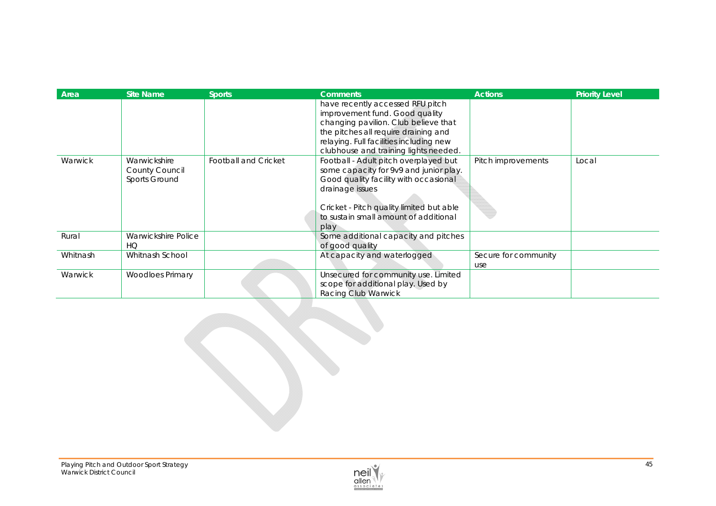| Area     | <b>Site Name</b>                                | <b>Sports</b>               | <b>Comments</b>                                                                                                                                                                                                                          | <b>Actions</b>              | <b>Priority Level</b> |
|----------|-------------------------------------------------|-----------------------------|------------------------------------------------------------------------------------------------------------------------------------------------------------------------------------------------------------------------------------------|-----------------------------|-----------------------|
|          |                                                 |                             | have recently accessed RFU pitch<br>improvement fund. Good quality<br>changing pavilion. Club believe that<br>the pitches all require draining and<br>relaying. Full facilities including new<br>clubhouse and training lights needed.   |                             |                       |
| Warwick  | Warwickshire<br>County Council<br>Sports Ground | <b>Football and Cricket</b> | Football - Adult pitch overplayed but<br>some capacity for 9v9 and junior play.<br>Good quality facility with occasional<br>drainage issues<br>Cricket - Pitch quality limited but able<br>to sustain small amount of additional<br>play | Pitch improvements          | Local                 |
| Rural    | Warwickshire Police<br>HO                       |                             | Some additional capacity and pitches<br>of good quality                                                                                                                                                                                  |                             |                       |
| Whitnash | Whitnash School                                 |                             | At capacity and waterlogged                                                                                                                                                                                                              | Secure for community<br>use |                       |
| Warwick  | <b>Woodloes Primary</b>                         |                             | Unsecured for community use. Limited<br>scope for additional play. Used by<br>Racing Club Warwick                                                                                                                                        |                             |                       |

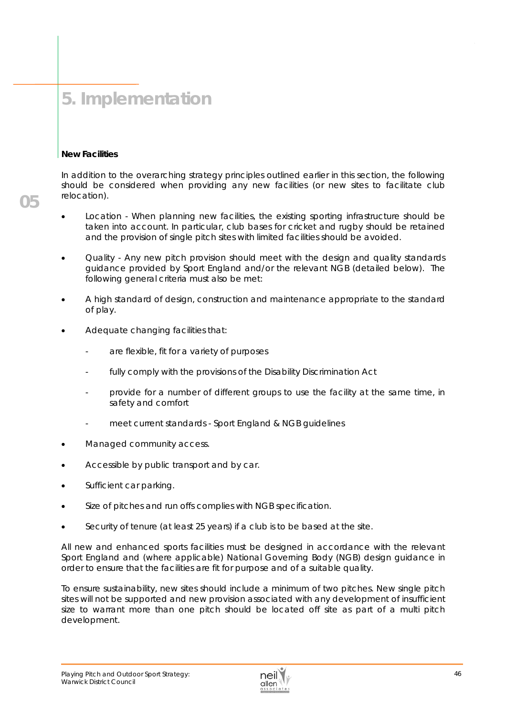# **5. Implementation**

#### **New Facilities**

**05** 

In addition to the overarching strategy principles outlined earlier in this section, the following should be considered when providing any new facilities (or new sites to facilitate club relocation).

- Location When planning new facilities, the existing sporting infrastructure should be taken into account. In particular, club bases for cricket and rugby should be retained and the provision of single pitch sites with limited facilities should be avoided.
- Quality Any new pitch provision should meet with the design and quality standards guidance provided by Sport England and/or the relevant NGB (detailed below). The following general criteria must also be met:
- A high standard of design, construction and maintenance appropriate to the standard of play.
- Adequate changing facilities that:
	- are flexible, fit for a variety of purposes
	- fully comply with the provisions of the Disability Discrimination Act
	- provide for a number of different groups to use the facility at the same time, in safety and comfort
	- meet current standards Sport England & NGB quidelines
- Managed community access.
- Accessible by public transport and by car.
- Sufficient car parking.
- Size of pitches and run offs complies with NGB specification.
- Security of tenure (at least 25 years) if a club is to be based at the site.

All new and enhanced sports facilities must be designed in accordance with the relevant Sport England and (where applicable) National Governing Body (NGB) design guidance in order to ensure that the facilities are fit for purpose and of a suitable quality.

To ensure sustainability, new sites should include a minimum of two pitches. New single pitch sites will not be supported and new provision associated with any development of insufficient size to warrant more than one pitch should be located off site as part of a multi pitch development.

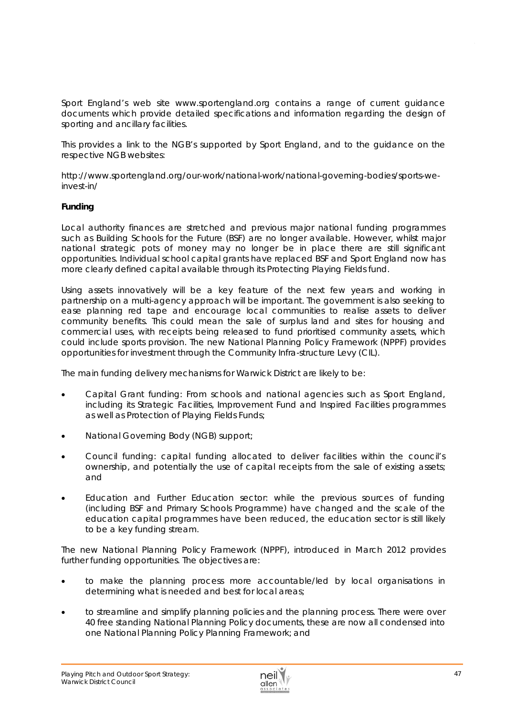Sport England's web site www.sportengland.org contains a range of current guidance documents which provide detailed specifications and information regarding the design of sporting and ancillary facilities.

This provides a link to the NGB's supported by Sport England, and to the guidance on the respective NGB websites:

http://www.sportengland.org/our-work/national-work/national-governing-bodies/sports-weinvest-in/

#### **Funding**

Local authority finances are stretched and previous major national funding programmes such as Building Schools for the Future (BSF) are no longer available. However, whilst major national strategic pots of money may no longer be in place there are still significant opportunities. Individual school capital grants have replaced BSF and Sport England now has more clearly defined capital available through its *Protecting Playing Fields fund.* 

Using assets innovatively will be a key feature of the next few years and working in partnership on a multi-agency approach will be important. The government is also seeking to ease planning red tape and encourage local communities to realise assets to deliver community benefits. This could mean the sale of surplus land and sites for housing and commercial uses, with receipts being released to fund prioritised community assets, which could include sports provision. The new National Planning Policy Framework (NPPF) provides opportunities for investment through the Community Infra-structure Levy (CIL).

The main funding delivery mechanisms for Warwick District are likely to be:

- Capital Grant funding: From schools and national agencies such as Sport England, including its Strategic Facilities, Improvement Fund and Inspired Facilities programmes as well as Protection of Playing Fields Funds;
- National Governing Body (NGB) support;
- Council funding: capital funding allocated to deliver facilities within the council's ownership, and potentially the use of capital receipts from the sale of existing assets; and
- Education and Further Education sector: while the previous sources of funding (including BSF and Primary Schools Programme) have changed and the scale of the education capital programmes have been reduced, the education sector is still likely to be a key funding stream.

The new National Planning Policy Framework (NPPF), introduced in March 2012 provides further funding opportunities. The objectives are:

- to make the planning process more accountable/led by local organisations in determining what is needed and best for local areas;
- to streamline and simplify planning policies and the planning process. There were over 40 free standing National Planning Policy documents, these are now all condensed into one National Planning Policy Planning Framework; and

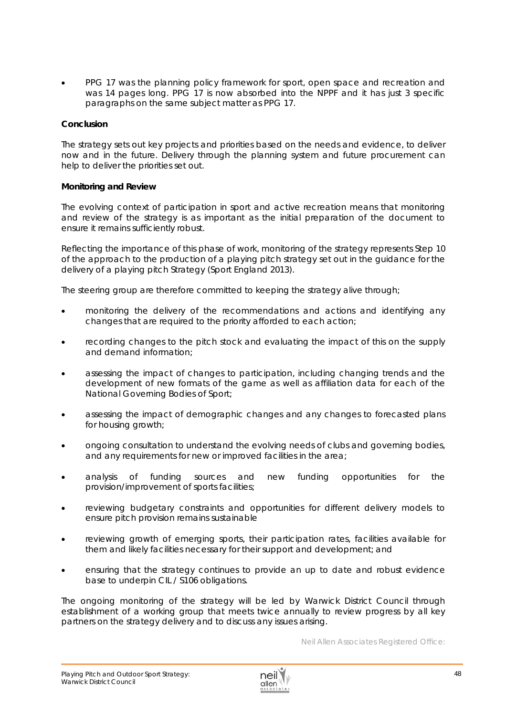PPG 17 was the planning policy framework for sport, open space and recreation and was 14 pages long. PPG 17 is now absorbed into the NPPF and it has just 3 specific paragraphs on the same subject matter as PPG 17.

#### **Conclusion**

The strategy sets out key projects and priorities based on the *needs and evidence*, to deliver now and in the future. Delivery through the planning system and future procurement can help to deliver the priorities set out.

#### **Monitoring and Review**

The evolving context of participation in sport and active recreation means that monitoring and review of the strategy is as important as the initial preparation of the document to ensure it remains sufficiently robust.

Reflecting the importance of this phase of work, monitoring of the strategy represents Step 10 of the approach to the production of a playing pitch strategy set out in the guidance for the delivery of a playing pitch Strategy (Sport England 2013).

The steering group are therefore committed to keeping the strategy alive through;

- monitoring the delivery of the recommendations and actions and identifying any changes that are required to the priority afforded to each action;
- recording changes to the pitch stock and evaluating the impact of this on the supply and demand information;
- assessing the impact of changes to participation, including changing trends and the development of new formats of the game as well as affiliation data for each of the National Governing Bodies of Sport;
- assessing the impact of demographic changes and any changes to forecasted plans for housing growth;
- ongoing consultation to understand the evolving needs of clubs and governing bodies, and any requirements for new or improved facilities in the area;
- analysis of funding sources and new funding opportunities for the provision/improvement of sports facilities;
- reviewing budgetary constraints and opportunities for different delivery models to ensure pitch provision remains sustainable
- reviewing growth of emerging sports, their participation rates, facilities available for them and likely facilities necessary for their support and development; and
- ensuring that the strategy continues to provide an up to date and robust evidence base to underpin CIL / S106 obligations.

The ongoing monitoring of the strategy will be led by Warwick District Council through establishment of a working group that meets twice annually to review progress by all key partners on the strategy delivery and to discuss any issues arising.

*Neil Allen Associates Registered Office:*